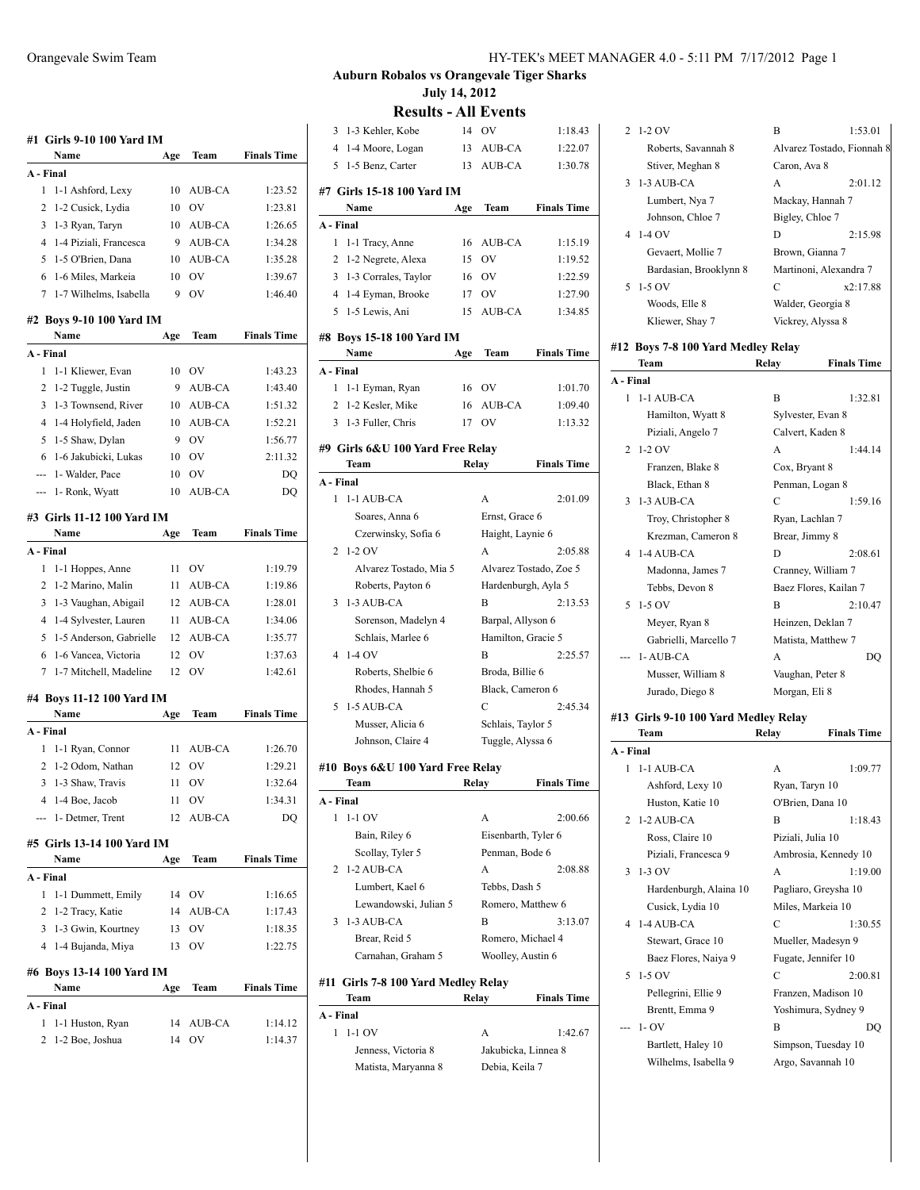|           | #1 Girls 9-10 100 Yard IM           |          |               |                    |
|-----------|-------------------------------------|----------|---------------|--------------------|
|           | Name                                | Age      | Team          | <b>Finals Time</b> |
| A - Final |                                     |          |               |                    |
| 1         | 1-1 Ashford, Lexy                   | 10       | AUB-CA        | 1:23.52            |
| 2         | 1-2 Cusick, Lydia                   | 10       | OV            | 1:23.81            |
| 3         | 1-3 Ryan, Taryn                     | 10       | AUB-CA        | 1:26.65            |
| 4         | 1-4 Piziali, Francesca              | 9        | AUB-CA        | 1:34.28            |
| 5         | 1-5 O'Brien, Dana                   | 10       | AUB-CA        | 1:35.28            |
| 6         | 1-6 Miles, Markeia                  | 10       | OV            | 1:39.67            |
| 7         | 1-7 Wilhelms, Isabella              | 9        | OV            | 1:46.40            |
|           | #2 Boys 9-10 100 Yard IM            |          |               |                    |
|           | Name                                | Age      | Team          | <b>Finals Time</b> |
| A - Final |                                     |          |               |                    |
| 1         | 1-1 Kliewer, Evan                   | 10       | OV            | 1:43.23            |
| 2         | 1-2 Tuggle, Justin                  | 9        | AUB-CA        | 1:43.40            |
| 3         | 1-3 Townsend, River                 | 10       | AUB-CA        | 1:51.32            |
| 4         | 1-4 Holyfield, Jaden                | 10       | AUB-CA        | 1:52.21            |
| 5         | 1-5 Shaw, Dylan                     | 9        | OV            | 1:56.77            |
| 6         | 1-6 Jakubicki, Lukas                | 10       | OV            | 2:11.32            |
| ---       | 1- Walder, Pace                     | 10       | OV            | DQ                 |
| ---       | 1- Ronk, Wyatt                      | 10       | <b>AUB-CA</b> | DQ                 |
|           | #3 Girls 11-12 100 Yard IM<br>Name  | Age      | Team          | <b>Finals Time</b> |
| A - Final |                                     |          |               |                    |
| 1         | 1-1 Hoppes, Anne                    | 11       | OV            | 1:19.79            |
| 2         | 1-2 Marino, Malin                   | 11       | AUB-CA        | 1:19.86            |
| 3         | 1-3 Vaughan, Abigail                | 12       | AUB-CA        | 1:28.01            |
| 4         | 1-4 Sylvester, Lauren               | 11       | AUB-CA        | 1:34.06            |
| 5         | 1-5 Anderson, Gabrielle             | 12       | AUB-CA        | 1:35.77            |
| 6         | 1-6 Vancea, Victoria                | 12       | OV            | 1:37.63            |
| 7         | 1-7 Mitchell, Madeline              | 12       | OV            | 1:42.61            |
|           | #4 Boys 11-12 100 Yard IM           |          |               |                    |
|           | Name                                | Age      | Team          | <b>Finals Time</b> |
| A - Final |                                     |          |               |                    |
| 1         | 1-1 Ryan, Connor                    | 11       | AUB-CA        | 1:26.70            |
| 2         | 1-2 Odom, Nathan                    | 12       | OV            | 1:29.21            |
| 3         | 1-3 Shaw, Travis                    | 11       | OV            | 1:32.64            |
| 4         | 1-4 Boe, Jacob                      | 11       | OV            | 1:34.31            |
|           | 1- Detmer, Trent                    | 12       | AUB-CA        | DO                 |
|           | #5 Girls 13-14 100 Yard IM          |          |               |                    |
|           | Name                                | Age      | Team          | <b>Finals Time</b> |
| A - Final |                                     |          |               |                    |
| 1         | 1-1 Dummett, Emily                  | 14       | OV            | 1:16.65            |
| 2         | 1-2 Tracy, Katie                    | 14       | AUB-CA        | 1:17.43            |
| 3         | 1-3 Gwin, Kourtney                  | 13       | OV            | 1:18.35            |
| 4         | 1-4 Bujanda, Miya                   | 13       | OV            | 1:22.75            |
|           | #6 Boys 13-14 100 Yard IM           |          |               |                    |
| A - Final | Name                                | Age      | Team          | <b>Finals Time</b> |
|           |                                     |          |               |                    |
|           |                                     |          |               |                    |
| 1<br>2    | 1-1 Huston, Ryan<br>1-2 Boe, Joshua | 14<br>14 | AUB-CA<br>OV  | 1:14.12<br>1:14.37 |

**Results - All Events**

| 3              | 1-3 Kehler, Kobe                    | 14    | OV                  | 1:18.43                |
|----------------|-------------------------------------|-------|---------------------|------------------------|
| 4              | 1-4 Moore, Logan                    | 13    | AUB-CA              | 1:22.07                |
| 5              | 1-5 Benz, Carter                    | 13    | AUB-CA              | 1:30.78                |
|                | #7 Girls 15-18 100 Yard IM          |       |                     |                        |
|                | Name                                | Age   | Team                | <b>Finals Time</b>     |
| A - Final      |                                     |       |                     |                        |
| 1              | 1-1 Tracy, Anne                     | 16    | AUB-CA              | 1:15.19                |
| 2              | 1-2 Negrete, Alexa                  | 15    | OV                  | 1:19.52                |
| 3              | 1-3 Corrales, Taylor                | 16    | <b>OV</b>           | 1:22.59                |
|                | 4 1-4 Eyman, Brooke                 | 17    | OV                  | 1:27.90                |
| 5              | 1-5 Lewis, Ani                      | 15    | AUB-CA              | 1:34.85                |
|                |                                     |       |                     |                        |
|                | #8 Boys 15-18 100 Yard IM<br>Name   | Age   | Team                | <b>Finals Time</b>     |
| A - Final      |                                     |       |                     |                        |
| 1              | 1-1 Eyman, Ryan                     | 16    | OV                  | 1:01.70                |
| 2              | 1-2 Kesler, Mike                    | 16    | AUB-CA              | 1:09.40                |
| 3              | 1-3 Fuller, Chris                   |       | OV                  | 1:13.32                |
|                |                                     | 17    |                     |                        |
|                | #9 Girls 6&U 100 Yard Free Relay    |       |                     |                        |
|                | Team                                |       | Relay               | <b>Finals Time</b>     |
| A - Final      |                                     |       |                     |                        |
| 1              | 1-1 AUB-CA                          |       | A                   | 2:01.09                |
|                | Soares, Anna 6                      |       | Ernst, Grace 6      |                        |
|                | Czerwinsky, Sofia 6                 |       | Haight, Laynie 6    |                        |
| 2              | $1-2$ OV                            |       | A                   | 2:05.88                |
|                | Alvarez Tostado, Mia 5              |       |                     | Alvarez Tostado, Zoe 5 |
|                | Roberts, Payton 6                   |       | Hardenburgh, Ayla 5 |                        |
| 3              | 1-3 AUB-CA                          |       | B                   | 2:13.53                |
|                | Sorenson, Madelyn 4                 |       | Barpal, Allyson 6   |                        |
|                | Schlais, Marlee 6                   |       | Hamilton, Gracie 5  |                        |
| $\overline{4}$ | $1-4$ OV                            |       | B                   | 2:25.57                |
|                | Roberts, Shelbie 6                  |       | Broda, Billie 6     |                        |
|                | Rhodes, Hannah 5                    |       | Black, Cameron 6    |                        |
| 5              | 1-5 AUB-CA                          |       | C                   | 2:45.34                |
|                | Musser, Alicia 6                    |       | Schlais, Taylor 5   |                        |
|                | Johnson, Claire 4                   |       | Tuggle, Alyssa 6    |                        |
|                | #10 Boys 6&U 100 Yard Free Relay    |       |                     |                        |
|                | Team                                | Relay |                     | <b>Finals Time</b>     |
| A - Final      |                                     |       |                     |                        |
| 1              | $1-1$ OV                            |       | A                   | 2:00.66                |
|                | Bain, Riley 6                       |       | Eisenbarth, Tyler 6 |                        |
|                | Scollay, Tyler 5                    |       | Penman, Bode 6      |                        |
| 2              | 1-2 AUB-CA                          |       | A                   | 2:08.88                |
|                | Lumbert, Kael 6                     |       | Tebbs, Dash 5       |                        |
|                | Lewandowski, Julian 5               |       | Romero, Matthew 6   |                        |
| 3              | 1-3 AUB-CA                          |       | в                   | 3:13.07                |
|                | Brear, Reid 5                       |       | Romero, Michael 4   |                        |
|                | Carnahan, Graham 5                  |       | Woolley, Austin 6   |                        |
|                | #11 Girls 7-8 100 Yard Medley Relay |       |                     |                        |
|                | Team                                | Relay |                     | <b>Finals Time</b>     |
| A - Final      |                                     |       |                     |                        |
| 1              | $1-1$ OV                            |       | А                   | 1:42.67                |
|                |                                     |       |                     |                        |
|                | Jenness, Victoria 8                 |       | Jakubicka, Linnea 8 |                        |

| $2\;1\;2\;0$ V         | B                      | 1:53.01                    |
|------------------------|------------------------|----------------------------|
| Roberts, Savannah 8    |                        | Alvarez Tostado, Fionnah 8 |
| Stiver, Meghan 8       | Caron, Ava 8           |                            |
| 3 1-3 AUB-CA           | A                      | 2:01.12                    |
| Lumbert, Nya 7         | Mackay, Hannah 7       |                            |
| Johnson, Chloe 7       | Bigley, Chloe 7        |                            |
| 4 1-4 OV               | D                      | 2:15.98                    |
| Gevaert. Mollie 7      | Brown, Gianna 7        |                            |
| Bardasian, Brooklynn 8 | Martinoni, Alexandra 7 |                            |
| 5 1-5 OV               | C                      | x2:17.88                   |
| Woods, Elle 8          | Walder, Georgia 8      |                            |
| Kliewer, Shay 7        | Vickrey, Alyssa 8      |                            |
|                        |                        |                            |

## **#12 Boys 7-8 100 Yard Medley Relay**

|                | Team                                 | Relay             | <b>Finals Time</b>    |
|----------------|--------------------------------------|-------------------|-----------------------|
| A - Final      |                                      |                   |                       |
| 1              | 1-1 AUB-CA                           | B                 | 1:32.81               |
|                | Hamilton, Wyatt 8                    | Sylvester, Evan 8 |                       |
|                | Piziali, Angelo 7                    | Calvert, Kaden 8  |                       |
| 2              | $1-2$ OV                             | A                 | 1:44.14               |
|                | Franzen, Blake 8                     | Cox, Bryant 8     |                       |
|                | Black, Ethan 8                       | Penman, Logan 8   |                       |
| 3              | 1-3 AUB-CA                           | $\overline{C}$    | 1:59.16               |
|                | Troy, Christopher 8                  | Ryan, Lachlan 7   |                       |
|                | Krezman, Cameron 8                   | Brear, Jimmy 8    |                       |
| 4              | 1-4 AUB-CA                           | D                 | 2:08.61               |
|                | Madonna, James 7                     |                   | Cranney, William 7    |
|                | Tebbs, Devon 8                       |                   | Baez Flores, Kailan 7 |
| 5              | 1-5 OV                               | B                 | 2:10.47               |
|                | Meyer, Ryan 8                        |                   | Heinzen, Deklan 7     |
|                | Gabrielli, Marcello 7                |                   | Matista, Matthew 7    |
|                | 1-AUB-CA                             | A                 | DQ                    |
|                | Musser, William 8                    | Vaughan, Peter 8  |                       |
|                | Jurado, Diego 8                      | Morgan, Eli 8     |                       |
|                | #13 Girls 9-10 100 Yard Medley Relay |                   |                       |
|                |                                      |                   |                       |
|                | Team                                 | Relay             | <b>Finals Time</b>    |
| A - Final      |                                      |                   |                       |
| 1              | 1-1 AUB-CA                           | А                 | 1:09.77               |
|                | Ashford, Lexy 10                     | Ryan, Taryn 10    |                       |
|                | Huston, Katie 10                     | O'Brien, Dana 10  |                       |
| $\overline{c}$ | 1-2 AUB-CA                           | B                 | 1:18.43               |
|                | Ross, Claire 10                      | Piziali, Julia 10 |                       |
|                | Piziali, Francesca 9                 |                   | Ambrosia, Kennedy 10  |
| 3              | $1-3$ OV                             | A                 | 1:19.00               |
|                | Hardenburgh, Alaina 10               |                   | Pagliaro, Greysha 10  |
|                | Cusick, Lydia 10                     | Miles, Markeia 10 |                       |
| 4              | 1-4 AUB-CA                           | C                 | 1:30.55               |
|                | Stewart, Grace 10                    |                   | Mueller, Madesyn 9    |
|                | Baez Flores, Naiya 9                 |                   | Fugate, Jennifer 10   |
| 5              | 1-5 OV                               | C                 | 2:00.81               |
|                | Pellegrini, Ellie 9                  |                   | Franzen, Madison 10   |
|                | Brentt, Emma 9                       |                   | Yoshimura, Sydney 9   |
|                | $1 - OV$                             | B                 | DO                    |
|                | Bartlett, Haley 10                   |                   | Simpson, Tuesday 10   |
|                | Wilhelms, Isabella 9                 |                   | Argo, Savannah 10     |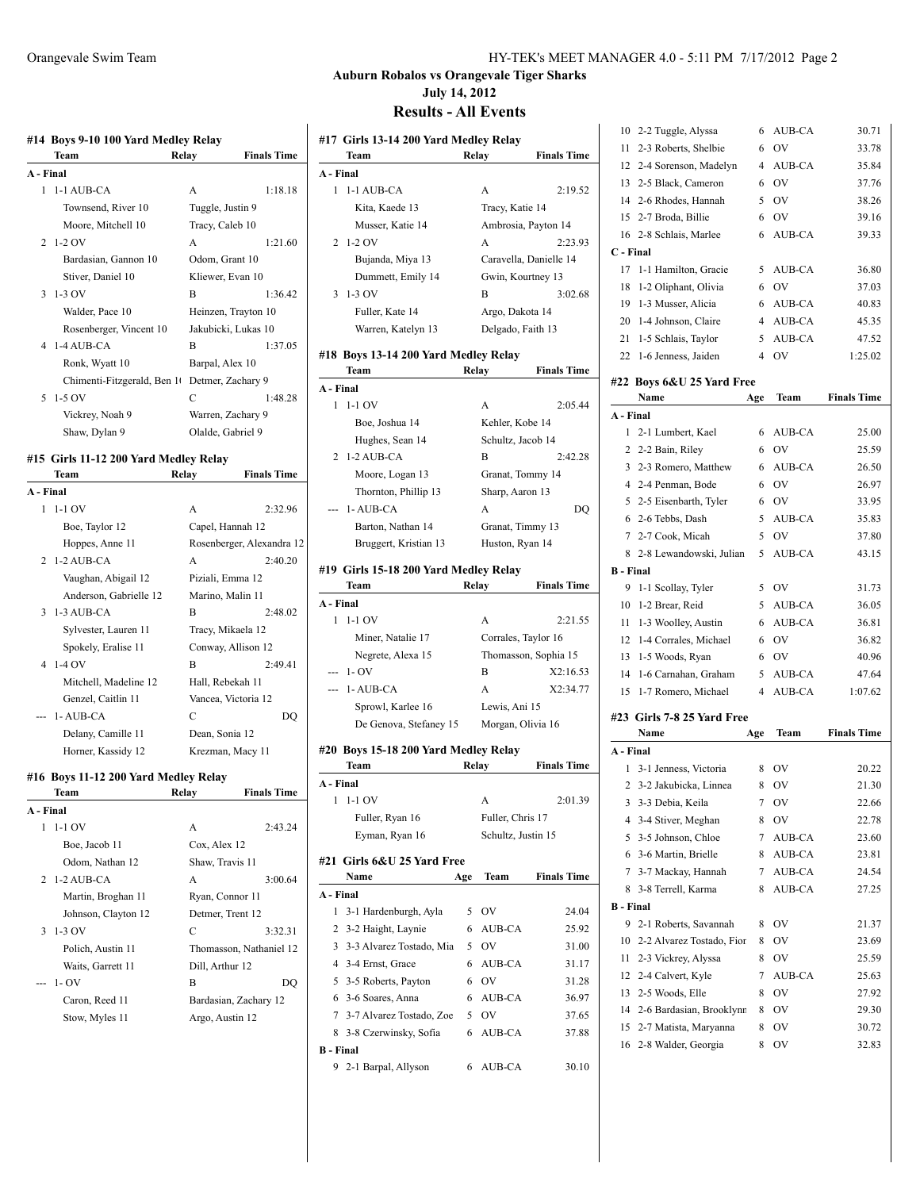|           | #14 Boys 9-10 100 Yard Medley Relay<br>Team | <b>Finals Time</b><br>Relay |
|-----------|---------------------------------------------|-----------------------------|
| A - Final |                                             |                             |
| 1         | 1-1 AUB-CA                                  | A<br>1:18.18                |
|           | Townsend, River 10                          | Tuggle, Justin 9            |
|           | Moore, Mitchell 10                          | Tracy, Caleb 10             |
| 2         | 1-2 OV                                      | A<br>1:21.60                |
|           | Bardasian, Gannon 10                        | Odom, Grant 10              |
|           | Stiver, Daniel 10                           | Kliewer, Evan 10            |
| 3         | 1-3 OV                                      | B<br>1:36.42                |
|           | Walder, Pace 10                             | Heinzen, Trayton 10         |
|           | Rosenberger, Vincent 10                     | Jakubicki, Lukas 10         |
| 4         | 1-4 AUB-CA                                  | В<br>1:37.05                |
|           | Ronk, Wyatt 10                              | Barpal, Alex 10             |
|           | Chimenti-Fitzgerald, Ben 10                 | Detmer, Zachary 9           |
| 5         | $1-5$ OV                                    | C<br>1:48.28                |
|           | Vickrey, Noah 9                             | Warren, Zachary 9           |
|           | Shaw, Dylan 9                               | Olalde, Gabriel 9           |
|           |                                             |                             |
|           | #15 Girls 11-12 200 Yard Medley Relay       |                             |
|           | Team                                        | <b>Finals Time</b><br>Relay |
| A - Final |                                             |                             |
| 1         | $1-1$ OV                                    | 2:32.96<br>А                |
|           | Boe, Taylor 12                              | Capel, Hannah 12            |
|           | Hoppes, Anne 11                             | Rosenberger, Alexandra 12   |
| 2         | 1-2 AUB-CA                                  | 2:40.20<br>A                |
|           | Vaughan, Abigail 12                         | Piziali, Emma 12            |
|           | Anderson, Gabrielle 12                      | Marino, Malin 11            |
| 3         | 1-3 AUB-CA                                  | В<br>2:48.02                |
|           | Sylvester, Lauren 11                        | Tracy, Mikaela 12           |
|           | Spokely, Eralise 11                         | Conway, Allison 12          |
| 4         | 1-4 OV                                      | 2:49.41<br>В                |
|           | Mitchell, Madeline 12                       | Hall, Rebekah 11            |
|           | Genzel, Caitlin 11                          | Vancea, Victoria 12         |
|           | 1-AUB-CA                                    | С<br>DQ                     |
|           | Delany, Camille 11                          | Dean, Sonia 12              |
|           | Horner, Kassidy 12                          | Krezman, Macy 11            |
|           | #16 Boys 11-12 200 Yard Medley Relay        |                             |
|           | Team                                        | Finals Time<br>Relay        |
| A - Final |                                             |                             |
| 1         | $1-1$ OV                                    | A<br>2:43.24                |
|           | Boe, Jacob 11                               | Cox, Alex 12                |
|           | Odom, Nathan 12                             | Shaw, Travis 11             |
| 2         | 1-2 AUB-CA                                  | A<br>3:00.64                |
|           | Martin, Broghan 11                          | Ryan, Connor 11             |
|           | Johnson, Clayton 12                         | Detmer, Trent 12            |
| 3         | 1-3 OV                                      | C<br>3:32.31                |
|           | Polich, Austin 11                           | Thomasson, Nathaniel 12     |
|           | Waits, Garrett 11                           | Dill, Arthur 12             |
|           | $1 - OV$                                    | В<br>DQ                     |
|           | Caron, Reed 11                              | Bardasian, Zachary 12       |
|           |                                             |                             |

Stow, Myles 11 Argo, Austin 12

#### Orangevale Swim Team HY-TEK's MEET MANAGER 4.0 - 5:11 PM 7/17/2012 Page 2

# **Auburn Robalos vs Orangevale Tiger Sharks July 14, 2012**

|           | #17 Girls 13-14 200 Yard Medley Relay         |       |                        |                    |
|-----------|-----------------------------------------------|-------|------------------------|--------------------|
|           | Team                                          | Relay |                        | <b>Finals Time</b> |
| A - Final |                                               |       |                        |                    |
| 1         | 1-1 AUB-CA                                    |       | A                      | 2:19.52            |
|           | Kita, Kaede 13                                |       | Tracy, Katie 14        |                    |
|           | Musser, Katie 14                              |       | Ambrosia, Payton 14    |                    |
| 2         | $1-2$ OV                                      |       | A                      | 2:23.93            |
|           | Bujanda, Miya 13                              |       | Caravella, Danielle 14 |                    |
|           | Dummett, Emily 14                             |       | Gwin, Kourtney 13      |                    |
| 3         | $1-3$ OV                                      |       | В                      | 3:02.68            |
|           | Fuller, Kate 14                               |       | Argo, Dakota 14        |                    |
|           | Warren, Katelyn 13                            |       | Delgado, Faith 13      |                    |
|           |                                               |       |                        |                    |
|           | #18  Boys 13-14 200 Yard Medley Relay<br>Team | Relay |                        | <b>Finals Time</b> |
| A - Final |                                               |       |                        |                    |
| 1         | $1-1$ OV                                      |       | А                      | 2:05.44            |
|           |                                               |       |                        |                    |
|           | Boe, Joshua 14                                |       | Kehler, Kobe 14        |                    |
|           | Hughes, Sean 14                               |       | Schultz, Jacob 14      |                    |
| 2         | 1-2 AUB-CA                                    |       | B                      | 2:42.28            |
|           | Moore, Logan 13                               |       | Granat, Tommy 14       |                    |
|           | Thornton, Phillip 13                          |       | Sharp, Aaron 13        |                    |
|           | 1-AUB-CA                                      |       | A                      | DQ                 |
|           | Barton, Nathan 14                             |       | Granat, Timmy 13       |                    |
|           | Bruggert, Kristian 13                         |       | Huston, Ryan 14        |                    |
|           | #19 Girls 15-18 200 Yard Medley Relay         |       |                        |                    |
|           | Team                                          | Relay |                        | <b>Finals Time</b> |
| A - Final |                                               |       |                        |                    |
|           |                                               |       |                        |                    |
| 1         | 1-1 OV                                        |       | A                      | 2:21.55            |
|           | Miner, Natalie 17                             |       | Corrales, Taylor 16    |                    |
|           | Negrete, Alexa 15                             |       | Thomasson, Sophia 15   |                    |
|           | --- 1-OV                                      |       | B                      | X2:16.53           |
|           | --- 1- AUB-CA                                 |       | A                      | X2:34.77           |
|           | Sprowl, Karlee 16                             |       | Lewis, Ani 15          |                    |
|           | De Genova, Stefaney 15                        |       | Morgan, Olivia 16      |                    |
|           |                                               |       |                        |                    |
|           | #20  Boys 15-18 200 Yard Medley Relay         |       |                        |                    |
|           | Team                                          | Relay |                        | <b>Finals Time</b> |
| A - Final |                                               |       |                        |                    |
| 1         | 1-1 OV                                        |       | A                      | 2:01.39            |
|           | Fuller, Ryan 16                               |       | Fuller, Chris 17       |                    |
|           | Eyman, Ryan 16                                |       | Schultz, Justin 15     |                    |
|           | Girls 6&U 25 Yard Free                        |       |                        |                    |
| #21       | Name                                          | Age   | Team                   | <b>Finals Time</b> |
| A - Final |                                               |       |                        |                    |
| 1         | 3-1 Hardenburgh, Ayla                         | 5     | OV                     | 24.04              |
| 2         | 3-2 Haight, Laynie                            | 6     | AUB-CA                 | 25.92              |
| 3         | 3-3 Alvarez Tostado, Mia                      | 5     | OV                     | 31.00              |
|           | 4 3-4 Ernst, Grace                            | 6     | <b>AUB-CA</b>          | 31.17              |
|           | 5 3-5 Roberts, Payton                         | 6     | OV                     | 31.28              |
|           | 6 3-6 Soares, Anna                            | 6     | AUB-CA                 | 36.97              |
|           | 7 3-7 Alvarez Tostado, Zoe                    | 5     | OV                     | 37.65              |
| 8         | 3-8 Czerwinsky, Sofia                         | 6     | AUB-CA                 | 37.88              |
| B - Final |                                               |       |                        |                    |

| 10                    | 2-2 Tuggle, Alyssa                         | 6              | AUB-CA    | 30.71              |
|-----------------------|--------------------------------------------|----------------|-----------|--------------------|
| 11                    | 2-3 Roberts, Shelbie                       | 6              | OV        | 33.78              |
|                       | 12 2-4 Sorenson, Madelyn                   | 4              | AUB-CA    | 35.84              |
|                       | 13 2-5 Black, Cameron                      | 6              | OV        | 37.76              |
|                       | 14 2-6 Rhodes, Hannah                      | 5              | OV        | 38.26              |
| 15                    | 2-7 Broda, Billie                          | 6              | OV        | 39.16              |
| 16                    | 2-8 Schlais, Marlee                        | 6              | AUB-CA    | 39.33              |
| C - Final             |                                            |                |           |                    |
| 17                    | 1-1 Hamilton, Gracie                       | 5              | AUB-CA    | 36.80              |
| 18                    | 1-2 Oliphant, Olivia                       | 6              | <b>OV</b> | 37.03              |
| 19                    | 1-3 Musser, Alicia                         | 6              | AUB-CA    | 40.83              |
|                       | 20 1-4 Johnson, Claire                     | 4              | AUB-CA    | 45.35              |
|                       | 21 1-5 Schlais, Taylor                     | 5              | AUB-CA    | 47.52              |
|                       | 22 1-6 Jenness, Jaiden                     | $\overline{4}$ | <b>OV</b> | 1:25.02            |
|                       |                                            |                |           |                    |
|                       | #22  Boys 6&U 25 Yard Free<br>Name         |                |           | <b>Finals Time</b> |
|                       |                                            | Age            | Team      |                    |
| A - Final<br>1        |                                            | 6              | AUB-CA    |                    |
|                       | 2-1 Lumbert, Kael                          | 6              | OV        | 25.00<br>25.59     |
|                       | 2 2-2 Bain, Riley<br>3 2-3 Romero, Matthew | 6              | AUB-CA    | 26.50              |
|                       | 4 2-4 Penman, Bode                         | 6              | <b>OV</b> | 26.97              |
|                       |                                            |                |           |                    |
| 5                     | 2-5 Eisenbarth, Tyler<br>6 2-6 Tebbs, Dash | 6              | <b>OV</b> | 33.95              |
|                       |                                            | 5              | AUB-CA    | 35.83              |
| 7                     | 2-7 Cook, Micah                            | 5              | OV        | 37.80              |
| 8                     | 2-8 Lewandowski, Julian                    | 5              | AUB-CA    | 43.15              |
| <b>B</b> - Final<br>9 |                                            | 5              | <b>OV</b> |                    |
|                       | 1-1 Scollay, Tyler                         |                |           | 31.73              |
|                       |                                            |                |           |                    |
| 10                    | 1-2 Brear, Reid                            | 5              | AUB-CA    | 36.05              |
| 11                    | 1-3 Woolley, Austin                        | 6              | AUB-CA    | 36.81              |
| 12                    | 1-4 Corrales, Michael                      | 6              | OV        | 36.82              |
| 13                    | 1-5 Woods, Ryan                            | 6              | <b>OV</b> | 40.96              |
| 14                    | 1-6 Carnahan, Graham                       | 5              | AUB-CA    | 47.64              |
| 15                    | 1-7 Romero, Michael                        | $\overline{4}$ | AUB-CA    | 1:07.62            |
|                       | #23 Girls 7-8 25 Yard Free                 |                |           |                    |
|                       | Name                                       | Age            | Team      | <b>Finals Time</b> |
| A - Final             |                                            |                |           |                    |
| 1                     | 3-1 Jenness, Victoria                      | 8              | OV        | 20.22              |
|                       | 2 3-2 Jakubicka, Linnea                    | 8              | OV        | 21.30              |
| 3                     | 3-3 Debia, Keila                           | 7              | ov        | 22.66              |
|                       | 4 3-4 Stiver, Meghan                       | 8              | OV        | 22.78              |
|                       | 5 3-5 Johnson, Chloe                       | 7              | AUB-CA    | 23.60              |
|                       | 6 3-6 Martin, Brielle                      | 8              | AUB-CA    | 23.81              |
| 7                     | 3-7 Mackay, Hannah                         | 7              | AUB-CA    | 24.54              |
| 8                     | 3-8 Terrell, Karma                         | 8              | AUB-CA    | 27.25              |
| B - Final             |                                            |                |           |                    |
| 9                     | 2-1 Roberts, Savannah                      | 8              | OV        | 21.37              |
| 10                    | 2-2 Alvarez Tostado, Fior                  | 8              | OV        | 23.69              |
| 11                    | 2-3 Vickrey, Alyssa                        | 8              | OV        | 25.59              |
| 12                    | 2-4 Calvert, Kyle                          | 7              | AUB-CA    | 25.63              |
| 13                    | 2-5 Woods, Elle                            | 8              | OV        | 27.92              |
| 14                    | 2-6 Bardasian, Brooklynn                   | 8              | OV        | 29.30              |
| 15                    | 2-7 Matista, Maryanna                      | 8              | OV        | 30.72              |
|                       | 16 2-8 Walder, Georgia                     | 8              | OV        | 32.83              |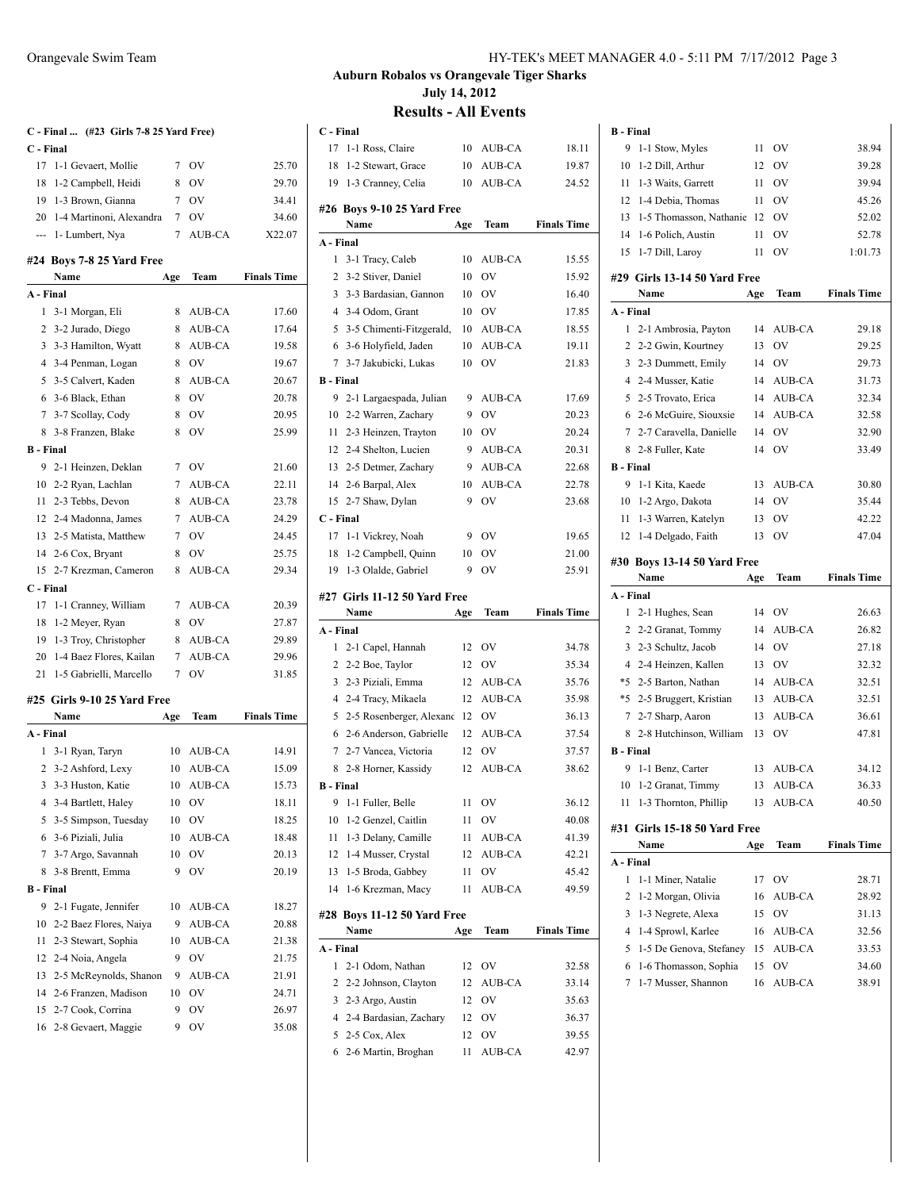|                  | C - Final  (#23 Girls 7-8 25 Yard Free) |             |           |                    |
|------------------|-----------------------------------------|-------------|-----------|--------------------|
| C - Final        |                                         |             |           |                    |
|                  | 17 1-1 Gevaert, Mollie                  | $7^{\circ}$ | OV        | 25.70              |
|                  | 18 1-2 Campbell, Heidi                  | 8           | OV        | 29.70              |
|                  | 19 1-3 Brown, Gianna                    | $7^{\circ}$ | <b>OV</b> | 34.41              |
|                  | 20 1-4 Martinoni, Alexandra             | $7^{\circ}$ | <b>OV</b> | 34.60              |
|                  | --- 1- Lumbert, Nya                     | 7           | AUB-CA    | X22.07             |
|                  | #24 Boys 7-8 25 Yard Free               |             |           |                    |
|                  | Name                                    | Age         | Team      | <b>Finals Time</b> |
| A - Final        |                                         |             |           |                    |
| 1                | 3-1 Morgan, Eli                         | 8           | AUB-CA    | 17.60              |
|                  | 2 3-2 Jurado, Diego                     |             | 8 AUB-CA  | 17.64              |
|                  | 3 3-3 Hamilton, Wyatt                   |             | 8 AUB-CA  | 19.58              |
|                  | 4 3-4 Penman, Logan                     | 8           | 0V        | 19.67              |
| 5                | 3-5 Calvert, Kaden                      | 8           | AUB-CA    | 20.67              |
| 6                | 3-6 Black, Ethan                        | 8           | <b>OV</b> | 20.78              |
| 7                | 3-7 Scollay, Cody                       | 8           | <b>OV</b> | 20.95              |
| 8                | 3-8 Franzen, Blake                      | 8           | <b>OV</b> | 25.99              |
| <b>B</b> - Final |                                         |             |           |                    |
| 9                | 2-1 Heinzen, Deklan                     |             | 7 OV      | 21.60              |
|                  | 10 2-2 Ryan, Lachlan                    |             | 7 AUB-CA  | 22.11              |
|                  | 11 2-3 Tebbs, Devon                     |             | 8 AUB-CA  | 23.78              |
|                  | 12 2-4 Madonna, James                   |             | 7 AUB-CA  | 24.29              |
|                  | 13 2-5 Matista, Matthew                 |             | 7 OV      | 24.45              |
| 14               | 2-6 Cox, Bryant                         | 8           | <b>OV</b> | 25.75              |
| 15               | 2-7 Krezman, Cameron                    | 8           | AUB-CA    | 29.34              |
| C - Final        |                                         |             |           |                    |
|                  | 17 1-1 Cranney, William                 |             | 7 AUB-CA  | 20.39              |
|                  | 18 1-2 Meyer, Ryan                      | 8           | OV        | 27.87              |
| 19               | 1-3 Troy, Christopher                   | 8           | AUB-CA    | 29.89              |
|                  | 20 1-4 Baez Flores, Kailan              | 7           | AUB-CA    | 29.96              |
|                  | 21 1-5 Gabrielli, Marcello              | 7           | <b>OV</b> | 31.85              |
|                  |                                         |             |           |                    |
|                  | #25 Girls 9-10 25 Yard Free<br>Name     | Age         | Team      | <b>Finals Time</b> |
| A - Final        |                                         |             |           |                    |
| 1                | 3-1 Ryan, Taryn                         |             | 10 AUB-CA | 14.91              |
| $\overline{c}$   | 3-2 Ashford, Lexy                       | 10          | AUB-CA    | 15.09              |
|                  | 3 3-3 Huston, Katie                     | 10          | AUB-CA    | 15.73              |
|                  | 4 3-4 Bartlett, Haley                   | 10          | OV        | 18.11              |
| 5                | 3-5 Simpson, Tuesday                    | 10          | OV        | 18.25              |
| 6                | 3-6 Piziali, Julia                      | 10          | AUB-CA    | 18.48              |
| 7                | 3-7 Argo, Savannah                      | 10          | OV        | 20.13              |
| 8                | 3-8 Brentt, Emma                        | 9           | OV        | 20.19              |
| <b>B</b> - Final |                                         |             |           |                    |
| 9                | 2-1 Fugate, Jennifer                    | 10          | AUB-CA    | 18.27              |
| 10               |                                         | 9           | AUB-CA    | 20.88              |
|                  | 2-2 Baez Flores, Naiya                  |             |           |                    |
| 11               | 2-3 Stewart, Sophia                     | 10          | AUB-CA    | 21.38              |
| 12               | 2-4 Noia, Angela                        | 9           | OV        | 21.75              |
| 13               | 2-5 McReynolds, Shanon                  | 9           | AUB-CA    | 21.91              |
| 14               | 2-6 Franzen, Madison                    | 10          | OV        | 24.71              |
| 15               | 2-7 Cook, Corrina                       | 9           | OV        | 26.97              |

2-8 Gevaert, Maggie 9 OV 35.08

# **Auburn Robalos vs Orangevale Tiger Sharks July 14, 2012**

|                  | C - Final                                  |     |               |                    |
|------------------|--------------------------------------------|-----|---------------|--------------------|
| 17               | 1-1 Ross, Claire                           | 10  | AUB-CA        | 18.11              |
| 18               | 1-2 Stewart, Grace                         | 10  | AUB-CA        | 19.87              |
| 19               | 1-3 Cranney, Celia                         | 10  | <b>AUB-CA</b> | 24.52              |
|                  |                                            |     |               |                    |
|                  | #26 Boys 9-10 25 Yard Free<br>Name         | Age | Team          | <b>Finals Time</b> |
| A - Final        |                                            |     |               |                    |
| 1                | 3-1 Tracy, Caleb                           | 10  | AUB-CA        | 15.55              |
| 2                | 3-2 Stiver, Daniel                         | 10  | OV            | 15.92              |
| 3                | 3-3 Bardasian, Gannon                      | 10  | OV            | 16.40              |
| $\overline{4}$   | 3-4 Odom, Grant                            | 10  | <b>OV</b>     | 17.85              |
| 5                | 3-5 Chimenti-Fitzgerald,                   | 10  | AUB-CA        | 18.55              |
| 6                | 3-6 Holyfield, Jaden                       | 10  | AUB-CA        | 19.11              |
| 7                | 3-7 Jakubicki, Lukas                       | 10  | OV            | 21.83              |
| <b>B</b> - Final |                                            |     |               |                    |
| 9                |                                            | 9   | AUB-CA        | 17.69              |
| 10               | 2-1 Largaespada, Julian                    | 9   | <b>OV</b>     | 20.23              |
| 11               | 2-2 Warren, Zachary                        | 10  | OV            | 20.24              |
| 12               | 2-3 Heinzen, Trayton                       | 9   |               | 20.31              |
|                  | 2-4 Shelton, Lucien<br>2-5 Detmer, Zachary | 9   | AUB-CA        |                    |
| 13               |                                            |     | AUB-CA        | 22.68              |
| 14               | 2-6 Barpal, Alex                           | 10  | AUB-CA        | 22.78              |
| 15               | 2-7 Shaw, Dylan                            | 9   | OV            | 23.68              |
| C - Final<br>17  |                                            | 9   | OV            |                    |
| 18               | 1-1 Vickrey, Noah                          | 10  | OV            | 19.65<br>21.00     |
| 19               | 1-2 Campbell, Quinn<br>1-3 Olalde, Gabriel | 9   | OV            | 25.91              |
|                  |                                            |     |               |                    |
|                  |                                            |     |               |                    |
|                  | #27 Girls 11-12 50 Yard Free               |     |               |                    |
|                  | Name                                       | Age | Team          | <b>Finals Time</b> |
| A - Final        |                                            |     |               |                    |
| 1                | 2-1 Capel, Hannah                          | 12  | OV            | 34.78              |
| 2                | 2-2 Boe, Taylor                            | 12  | <b>OV</b>     | 35.34              |
| 3                | 2-3 Piziali, Emma                          | 12  | AUB-CA        | 35.76              |
| 4                | 2-4 Tracy, Mikaela                         | 12  | AUB-CA        | 35.98              |
| 5                | 2-5 Rosenberger, Alexand 12                |     | OV            | 36.13              |
| 6                | 2-6 Anderson, Gabrielle                    | 12  | AUB-CA        | 37.54              |
| 7                | 2-7 Vancea, Victoria                       | 12  | OV            | 37.57              |
| 8                | 2-8 Horner, Kassidy                        | 12  | <b>AUB-CA</b> | 38.62              |
| <b>B</b> - Final |                                            |     |               |                    |
| 9                | 1-1 Fuller, Belle                          | 11  | 0V            | 36.12              |
| 10               | 1-2 Genzel, Caitlin                        | 11  | OV            | 40.08              |
| 11               | 1-3 Delany, Camille                        | 11  | AUB-CA        | 41.39              |
| 12               | 1-4 Musser, Crystal                        | 12  | AUB-CA        | 42.21              |
| 13               | 1-5 Broda, Gabbey                          | 11  | OV            | 45.42              |
| 14               | 1-6 Krezman, Macy                          | 11  | AUB-CA        | 49.59              |
| #28              |                                            |     |               |                    |
|                  | Boys 11-12 50 Yard Free<br>Name            | Age | Team          | <b>Finals Time</b> |
| A - Final        |                                            |     |               |                    |
| 1                | 2-1 Odom, Nathan                           | 12  | OV            | 32.58              |
| 2                | 2-2 Johnson, Clayton                       | 12  | AUB-CA        | 33.14              |
| 3                | 2-3 Argo, Austin                           | 12  | OV            | 35.63              |
| 4                | 2-4 Bardasian, Zachary                     | 12  | OV            | 36.37              |
| 5                | 2-5 Cox, Alex                              | 12  | OV            | 39.55              |

| <b>B</b> - Final |                                                  |     |                  |                    |
|------------------|--------------------------------------------------|-----|------------------|--------------------|
| 9                | 1-1 Stow, Myles                                  | 11  | OV               | 38.94              |
| 10               | 1-2 Dill, Arthur                                 | 12  | OV               | 39.28              |
| 11               | 1-3 Waits, Garrett                               | 11  | <b>OV</b>        | 39.94              |
| 12               | 1-4 Debia, Thomas                                | 11  | <b>OV</b>        | 45.26              |
| 13               | 1-5 Thomasson, Nathanie                          | 12  | OV               | 52.02              |
| 14               | 1-6 Polich, Austin                               | 11  | OV               | 52.78              |
| 15               | 1-7 Dill, Laroy                                  | 11  | OV               | 1:01.73            |
|                  | #29 Girls 13-14 50 Yard Free                     |     |                  |                    |
|                  | Name                                             | Age | Team             | <b>Finals Time</b> |
| A - Final        |                                                  |     |                  |                    |
| 1                | 2-1 Ambrosia, Payton                             | 14  | AUB-CA           | 29.18              |
| $\overline{c}$   | 2-2 Gwin, Kourtney                               | 13  | OV               | 29.25              |
| 3                | 2-3 Dummett, Emily                               | 14  | OV               | 29.73              |
| $\overline{4}$   | 2-4 Musser, Katie                                | 14  | AUB-CA           | 31.73              |
| 5                | 2-5 Trovato, Erica                               | 14  | AUB-CA           | 32.34              |
| 6                | 2-6 McGuire, Siouxsie                            | 14  | AUB-CA           | 32.58              |
| 7                | 2-7 Caravella, Danielle                          | 14  | OV               | 32.90              |
| 8                | 2-8 Fuller, Kate                                 | 14  | OV               | 33.49              |
| <b>B</b> - Final |                                                  |     |                  |                    |
| 9                | 1-1 Kita, Kaede                                  | 13  | AUB-CA           | 30.80              |
| 10               | 1-2 Argo, Dakota                                 | 14  | <b>OV</b>        | 35.44              |
| 11               | 1-3 Warren, Katelyn                              | 13  | OV               | 42.22              |
|                  | 12 1-4 Delgado, Faith                            | 13  | OV               | 47.04              |
|                  |                                                  |     |                  |                    |
|                  |                                                  |     |                  |                    |
|                  | #30 Boys 13-14 50 Yard Free<br>Name              |     |                  | <b>Finals Time</b> |
| A - Final        |                                                  | Age | Team             |                    |
| 1                | 2-1 Hughes, Sean                                 | 14  | <b>OV</b>        | 26.63              |
| 2                | 2-2 Granat, Tommy                                | 14  | AUB-CA           | 26.82              |
| 3                | 2-3 Schultz, Jacob                               | 14  | <b>OV</b>        | 27.18              |
| $\overline{4}$   | 2-4 Heinzen, Kallen                              | 13  | <b>OV</b>        | 32.32              |
| *5               | 2-5 Barton, Nathan                               | 14  | AUB-CA           | 32.51              |
|                  | *5 2-5 Bruggert, Kristian                        | 13  | AUB-CA           | 32.51              |
| 7                | 2-7 Sharp, Aaron                                 | 13  | AUB-CA           | 36.61              |
| 8                | 2-8 Hutchinson, William                          | 13  | OV               | 47.81              |
| <b>B</b> - Final |                                                  |     |                  |                    |
| 9                | 1-1 Benz, Carter                                 | 13  | AUB-CA           | 34.12              |
| 10               | 1-2 Granat, Timmy                                | 13  | <b>AUB-CA</b>    | 36.33              |
| 11               | 1-3 Thornton, Phillip                            | 13  | AUB-CA           | 40.50              |
|                  |                                                  |     |                  |                    |
| #31              | Girls 15-18 50 Yard Free<br>Name                 |     |                  |                    |
|                  |                                                  | Age | Team             | <b>Finals Time</b> |
| A - Final<br>1   | 1-1 Miner, Natalie                               | 17  | OV               | 28.71              |
| 2                |                                                  | 16  |                  | 28.92              |
| 3                | 1-2 Morgan, Olivia<br>1-3 Negrete, Alexa         | 15  | AUB-CA<br>OV     | 31.13              |
| 4                | 1-4 Sprowl, Karlee                               | 16  |                  |                    |
| 5                |                                                  | 15  | AUB-CA<br>AUB-CA | 32.56<br>33.53     |
| 6                | 1-5 De Genova, Stefaney<br>1-6 Thomasson, Sophia | 15  | OV               | 34.60              |
| 7                | 1-7 Musser, Shannon                              | 16  | AUB-CA           | 38.91              |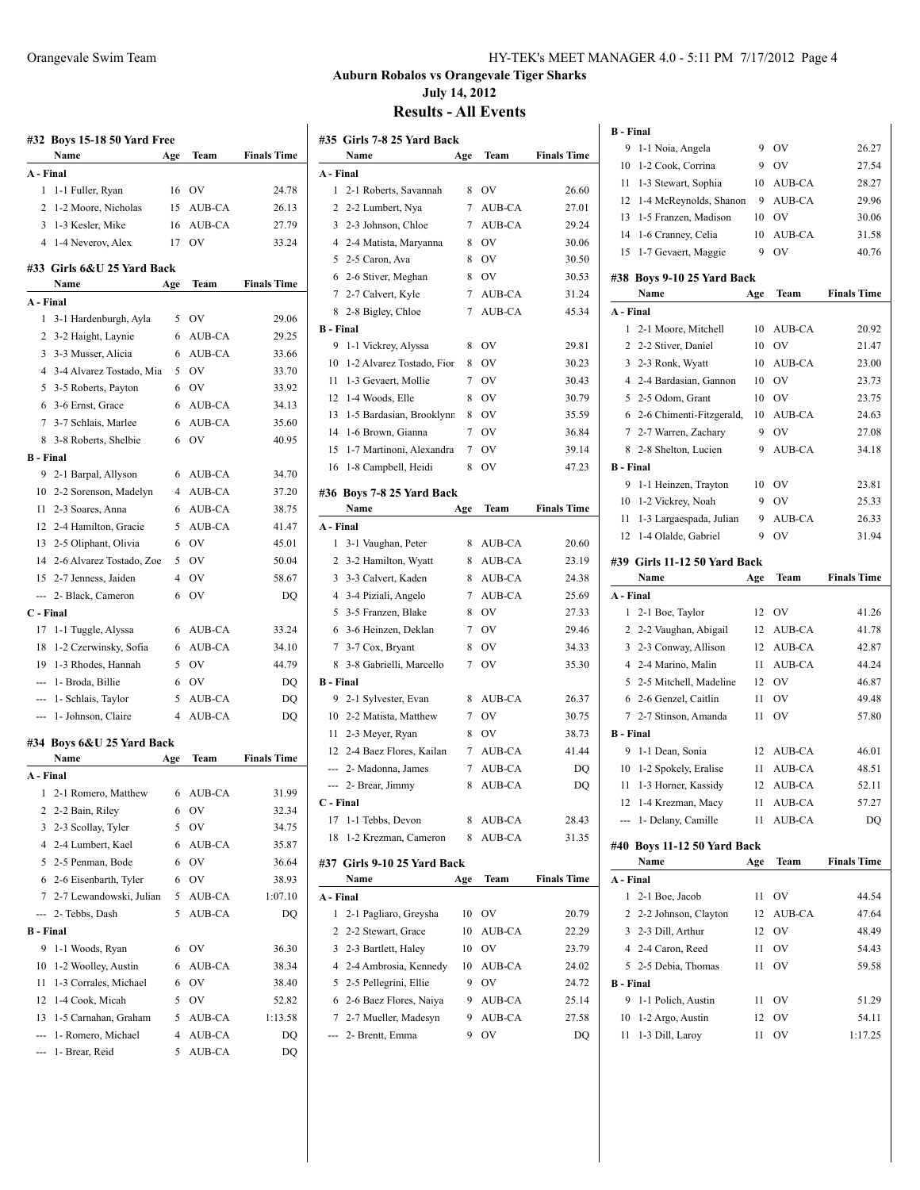|                  | #32 Boys 15-18 50 Yard Free<br>Name     |                | Team      | <b>Finals Time</b> |
|------------------|-----------------------------------------|----------------|-----------|--------------------|
| A - Final        |                                         | Age            |           |                    |
| 1                |                                         |                | 16 OV     | 24.78              |
| 2                | 1-1 Fuller, Ryan<br>1-2 Moore, Nicholas | 15             | AUB-CA    | 26.13              |
|                  | 3 1-3 Kesler, Mike                      | 16             | AUB-CA    | 27.79              |
|                  | 4 1-4 Neverov, Alex                     | 17             | OV        | 33.24              |
|                  |                                         |                |           |                    |
|                  | #33 Girls 6&U 25 Yard Back              |                |           |                    |
|                  | Name                                    | Age            | Team      | <b>Finals Time</b> |
| A - Final        |                                         |                |           |                    |
| 1                | 3-1 Hardenburgh, Ayla                   | 5              | 0V        | 29.06              |
|                  | 2 3-2 Haight, Laynie                    | 6              | AUB-CA    | 29.25              |
| 3                | 3-3 Musser, Alicia                      | 6              | AUB-CA    | 33.66              |
|                  | 4 3-4 Alvarez Tostado, Mia              | 5              | <b>OV</b> | 33.70              |
|                  | 5 3-5 Roberts, Payton                   | 6              | <b>OV</b> | 33.92              |
|                  | 6 3-6 Ernst, Grace                      | 6              | AUB-CA    | 34.13              |
|                  | 7 3-7 Schlais, Marlee                   | 6              | AUB-CA    | 35.60              |
|                  | 8 3-8 Roberts, Shelbie                  | 6              | OV        | 40.95              |
| <b>B</b> - Final |                                         |                |           |                    |
| 9                | 2-1 Barpal, Allyson                     | 6              | AUB-CA    | 34.70              |
| 10               | 2-2 Sorenson, Madelyn                   | 4              | AUB-CA    | 37.20              |
| 11               | 2-3 Soares, Anna                        | 6              | AUB-CA    | 38.75              |
|                  | 12 2-4 Hamilton, Gracie                 | 5              | AUB-CA    | 41.47              |
|                  | 13 2-5 Oliphant, Olivia                 | 6              | OV        | 45.01              |
|                  | 14 2-6 Alvarez Tostado, Zoe             | 5              | <b>OV</b> | 50.04              |
| 15               | 2-7 Jenness, Jaiden                     | 4              | <b>OV</b> | 58.67              |
|                  | --- 2- Black, Cameron                   | 6              | OV        | DQ                 |
| C - Final        |                                         |                |           |                    |
| 17               | 1-1 Tuggle, Alyssa                      | 6              | AUB-CA    | 33.24              |
| 18               | 1-2 Czerwinsky, Sofia                   | 6              | AUB-CA    | 34.10              |
|                  | 19 1-3 Rhodes, Hannah                   | 5              | <b>OV</b> | 44.79              |
|                  | --- 1- Broda, Billie                    | 6              | <b>OV</b> | DQ                 |
|                  | --- 1- Schlais, Taylor                  | 5              | AUB-CA    | DQ                 |
|                  | --- 1- Johnson, Claire                  | $\overline{4}$ | AUB-CA    | DQ                 |
|                  | #34 Boys 6&U 25 Yard Back               |                |           |                    |
|                  | Name                                    | Age            | Team      | <b>Finals Time</b> |
| A - Final        |                                         |                |           |                    |
|                  | 1 2-1 Romero, Matthew 6 AUB-CA          |                |           | 31.99              |
| 2                | 2-2 Bain, Riley                         | 6              | OV        | 32.34              |
| 3                | 2-3 Scollay, Tyler                      | 5              | OV        | 34.75              |
|                  | 4 2-4 Lumbert, Kael                     | 6              | AUB-CA    | 35.87              |
|                  | 5 2-5 Penman, Bode                      | 6              | OV        | 36.64              |
|                  | 6 2-6 Eisenbarth, Tyler                 | 6              | OV        | 38.93              |
| 7                | 2-7 Lewandowski, Julian                 | 5              | AUB-CA    | 1:07.10            |
| ---              | 2- Tebbs, Dash                          | 5              | AUB-CA    | DQ                 |
| <b>B</b> - Final |                                         |                |           |                    |
| 9                | 1-1 Woods, Ryan                         | 6              | OV        | 36.30              |
| 10               | 1-2 Woolley, Austin                     | 6              | AUB-CA    | 38.34              |
| 11               | 1-3 Corrales, Michael                   | 6              | OV        | 38.40              |
| 12               | 1-4 Cook, Micah                         | 5              | OV        | 52.82              |
| 13               | 1-5 Carnahan, Graham                    | 5              | AUB-CA    | 1:13.58            |

--- 1- Romero, Michael 4 AUB-CA DQ --- 1- Brear, Reid 5 AUB-CA DQ

#### Orangevale Swim Team HY-TEK's MEET MANAGER 4.0 - 5:11 PM 7/17/2012 Page 4

**Auburn Robalos vs Orangevale Tiger Sharks July 14, 2012**

|                  | #35 Girls 7-8 25 Yard Back  |     |           |                    |
|------------------|-----------------------------|-----|-----------|--------------------|
|                  | Name                        | Age | Team      | <b>Finals Time</b> |
| A - Final        |                             |     |           |                    |
| 1                | 2-1 Roberts, Savannah       | 8   | <b>OV</b> | 26.60              |
| 2                | 2-2 Lumbert, Nya            | 7   | AUB-CA    | 27.01              |
| 3                | 2-3 Johnson, Chloe          | 7   | AUB-CA    | 29.24              |
| 4                | 2-4 Matista, Maryanna       | 8   | OV        | 30.06              |
| 5                | 2-5 Caron, Ava              | 8   | <b>OV</b> | 30.50              |
| 6                | 2-6 Stiver, Meghan          | 8   | <b>OV</b> | 30.53              |
| 7                | 2-7 Calvert, Kyle           | 7   | AUB-CA    | 31.24              |
| 8                | 2-8 Bigley, Chloe           | 7   | AUB-CA    | 45.34              |
| <b>B</b> - Final |                             |     |           |                    |
| 9                | 1-1 Vickrey, Alyssa         | 8   | <b>OV</b> | 29.81              |
| 10               | 1-2 Alvarez Tostado, Fior   | 8   | <b>OV</b> | 30.23              |
| 11               | 1-3 Gevaert, Mollie         | 7   | <b>OV</b> | 30.43              |
| 12               | 1-4 Woods, Elle             | 8   | OV        | 30.79              |
| 13               | 1-5 Bardasian, Brooklynn    | 8   | <b>OV</b> | 35.59              |
| 14               | 1-6 Brown, Gianna           | 7   | <b>OV</b> | 36.84              |
| 15               | 1-7 Martinoni, Alexandra    | 7   | <b>OV</b> | 39.14              |
|                  | 16 1-8 Campbell, Heidi      | 8   | OV        | 47.23              |
|                  | #36 Boys 7-8 25 Yard Back   |     |           |                    |
|                  | Name                        | Age | Team      | <b>Finals Time</b> |
| A - Final        |                             |     |           |                    |
| 1                | 3-1 Vaughan, Peter          | 8   | AUB-CA    | 20.60              |
| 2                | 3-2 Hamilton, Wyatt         | 8   | AUB-CA    | 23.19              |
| 3                | 3-3 Calvert, Kaden          | 8   | AUB-CA    | 24.38              |
| 4                | 3-4 Piziali, Angelo         | 7   | AUB-CA    | 25.69              |
| 5                | 3-5 Franzen, Blake          | 8   | OV        | 27.33              |
| 6                | 3-6 Heinzen, Deklan         | 7   | OV        | 29.46              |
| 7                | 3-7 Cox, Bryant             | 8   | <b>OV</b> | 34.33              |
| 8                | 3-8 Gabrielli, Marcello     | 7   | OV        | 35.30              |
| <b>B</b> - Final |                             |     |           |                    |
| 9                | 2-1 Sylvester, Evan         | 8   | AUB-CA    | 26.37              |
|                  | 10 2-2 Matista, Matthew     | 7   | OV        | 30.75              |
|                  | 11 2-3 Meyer, Ryan          | 8   | OV        | 38.73              |
|                  | 12 2-4 Baez Flores, Kailan  | 7   | AUB-CA    | 41.44              |
|                  | --- 2- Madonna, James       | 7   | AUB-CA    | DO                 |
| ---              | 2- Brear, Jimmy             | 8   | AUB-CA    | DQ                 |
| C - Final        |                             |     |           |                    |
| 17               | 1-1 Tebbs, Devon            | 8   | AUB-CA    | 28.43              |
| 18               | 1-2 Krezman, Cameron        | 8   | AUB-CA    | 31.35              |
|                  |                             |     |           |                    |
|                  | #37 Girls 9-10 25 Yard Back |     |           |                    |
|                  | Name                        | Age | Team      | <b>Finals Time</b> |
| A - Final        |                             |     |           |                    |
| 1                | 2-1 Pagliaro, Greysha       | 10  | OV        | 20.79              |
| 2                | 2-2 Stewart, Grace          | 10  | AUB-CA    | 22.29              |
| 3                | 2-3 Bartlett, Haley         | 10  | OV        | 23.79              |
| 4                | 2-4 Ambrosia, Kennedy       | 10  | AUB-CA    | 24.02              |
| 5                | 2-5 Pellegrini, Ellie       | 9   | OV        | 24.72              |
| 6                | 2-6 Baez Flores, Naiya      | 9   | AUB-CA    | 25.14              |
| 7                | 2-7 Mueller, Madesyn        | 9   | AUB-CA    | 27.58              |
|                  | 2- Brentt, Emma             | 9   | OV        | DQ                 |

| <b>B</b> - Final |                                     |     |               |                    |
|------------------|-------------------------------------|-----|---------------|--------------------|
| 9                | 1-1 Noia, Angela                    | 9   | <b>OV</b>     | 26.27              |
| 10               | 1-2 Cook, Corrina                   | 9   | OV            | 27.54              |
| 11               | 1-3 Stewart, Sophia                 | 10  | AUB-CA        | 28.27              |
| 12               | 1-4 McReynolds, Shanon              | 9   | <b>AUB-CA</b> | 29.96              |
| 13               | 1-5 Franzen, Madison                | 10  | <b>OV</b>     | 30.06              |
| 14               | 1-6 Cranney, Celia                  | 10  | AUB-CA        | 31.58              |
| 15               | 1-7 Gevaert, Maggie                 | 9   | OV            | 40.76              |
|                  | #38 Boys 9-10 25 Yard Back          |     |               |                    |
|                  | Name                                | Age | Team          | <b>Finals Time</b> |
| A - Final        |                                     |     |               |                    |
| 1                | 2-1 Moore, Mitchell                 | 10  | AUB-CA        | 20.92              |
| 2                | 2-2 Stiver, Daniel                  | 10  | OV            | 21.47              |
| 3                | 2-3 Ronk, Wyatt                     | 10  | AUB-CA        | 23.00              |
| 4                | 2-4 Bardasian, Gannon               | 10  | OV            | 23.73              |
| 5                | 2-5 Odom, Grant                     | 10  | <b>OV</b>     | 23.75              |
| 6                | 2-6 Chimenti-Fitzgerald,            | 10  | AUB-CA        | 24.63              |
|                  | 7 2-7 Warren, Zachary               | 9   | OV            | 27.08              |
| 8                | 2-8 Shelton, Lucien                 | 9   | <b>AUB-CA</b> | 34.18              |
| <b>B</b> - Final |                                     |     |               |                    |
| 9                | 1-1 Heinzen, Trayton                | 10  | <b>OV</b>     | 23.81              |
|                  | 10 1-2 Vickrey, Noah                | 9   | <b>OV</b>     | 25.33              |
| 11               | 1-3 Largaespada, Julian             | 9   | AUB-CA        | 26.33              |
| 12               | 1-4 Olalde, Gabriel                 | 9   | OV            | 31.94              |
|                  | #39 Girls 11-12 50 Yard Back        |     |               |                    |
|                  | Name                                | Age | Team          | <b>Finals Time</b> |
| A - Final        |                                     |     |               |                    |
| 1                | 2-1 Boe, Taylor                     | 12  | OV            | 41.26              |
|                  | 2 2-2 Vaughan, Abigail              |     | AUB-CA        |                    |
|                  |                                     | 12  |               | 41.78              |
| 3                | 2-3 Conway, Allison                 | 12  | AUB-CA        | 42.87              |
|                  | 4 2-4 Marino, Malin                 | 11  | AUB-CA        | 44.24              |
| 5                | 2-5 Mitchell, Madeline              | 12  | OV            | 46.87              |
| 6                | 2-6 Genzel, Caitlin                 | 11  | OV            | 49.48              |
| 7                | 2-7 Stinson, Amanda                 | 11  | OV            | 57.80              |
| <b>B</b> - Final |                                     |     |               |                    |
| 9                | 1-1 Dean, Sonia                     | 12  | AUB-CA        | 46.01              |
| 10               | 1-2 Spokely, Eralise                | 11  | AUB-CA        | 48.51              |
| 11               | 1-3 Horner, Kassidy                 | 12  | <b>AUB-CA</b> | 52.11              |
| 12               | 1-4 Krezman, Macy                   | 11  | AUB-CA        | 57.27              |
|                  | 1- Delany, Camille                  | 11  | AUB-CA        | DO                 |
|                  |                                     |     |               |                    |
|                  | #40 Boys 11-12 50 Yard Back<br>Name | Age | Team          | <b>Finals Time</b> |
| A - Final        |                                     |     |               |                    |
| 1                | 2-1 Boe, Jacob                      | 11  | OV            | 44.54              |
| 2                | 2-2 Johnson, Clayton                | 12  | AUB-CA        | 47.64              |
| 3                | 2-3 Dill, Arthur                    | 12  | OV            | 48.49              |
|                  | 4 2-4 Caron, Reed                   | 11  | OV            | 54.43              |
| 5                | 2-5 Debia, Thomas                   | 11  | OV            | 59.58              |
| <b>B</b> - Final |                                     |     |               |                    |
| 9                | 1-1 Polich, Austin                  | 11  | OV            | 51.29              |
| 10               | 1-2 Argo, Austin                    | 12  | OV            | 54.11              |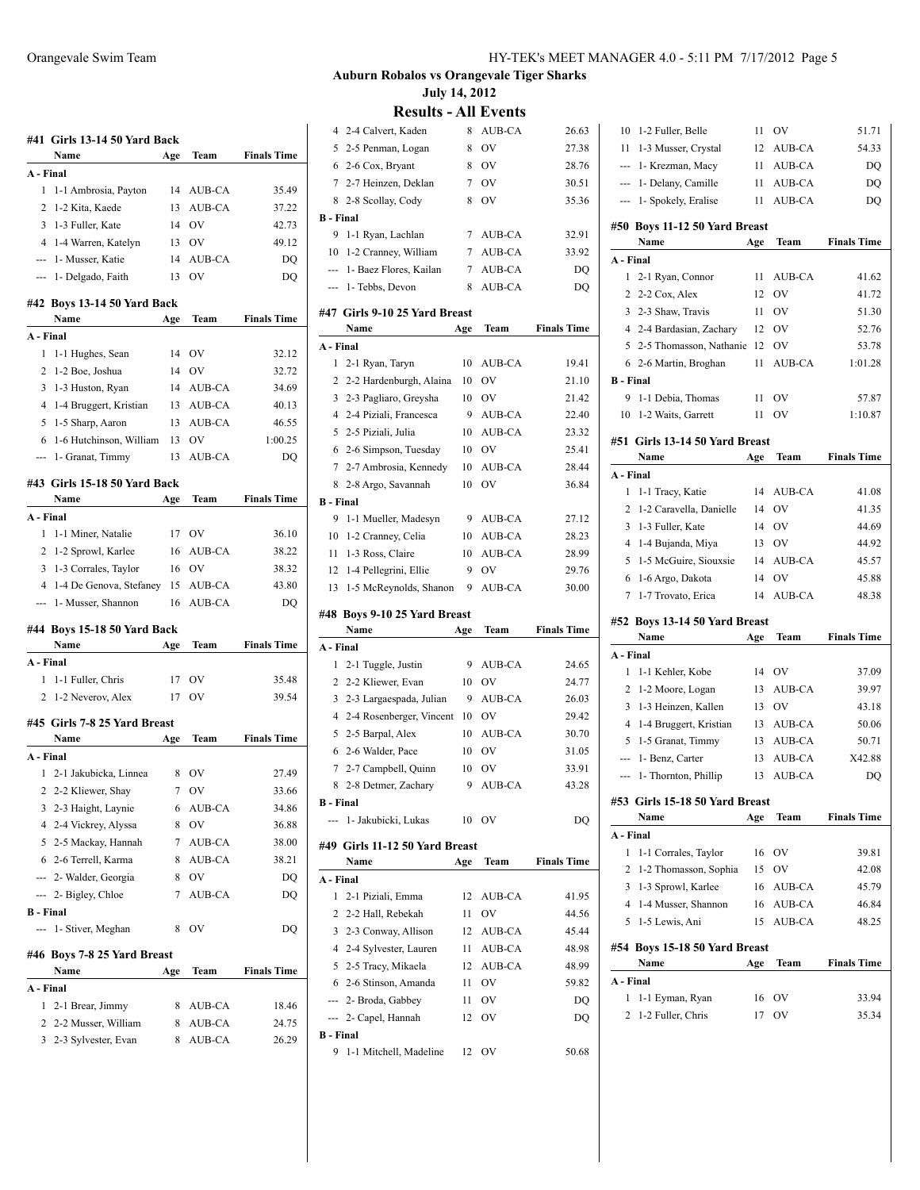|                                                                                                                                                                                                                                                                                                                                                                                                                                                                            | #41 Girls 13-14 50 Yard Back                   |        |                  |                    |
|----------------------------------------------------------------------------------------------------------------------------------------------------------------------------------------------------------------------------------------------------------------------------------------------------------------------------------------------------------------------------------------------------------------------------------------------------------------------------|------------------------------------------------|--------|------------------|--------------------|
|                                                                                                                                                                                                                                                                                                                                                                                                                                                                            | Name                                           | Age    | Team             | <b>Finals Time</b> |
| A - Final                                                                                                                                                                                                                                                                                                                                                                                                                                                                  |                                                |        |                  |                    |
| 1                                                                                                                                                                                                                                                                                                                                                                                                                                                                          | 1-1 Ambrosia, Payton                           | 14     | AUB-CA           | 35.49              |
| 2                                                                                                                                                                                                                                                                                                                                                                                                                                                                          | 1-2 Kita, Kaede                                | 13     | <b>AUB-CA</b>    | 37.22              |
| 3                                                                                                                                                                                                                                                                                                                                                                                                                                                                          | 1-3 Fuller, Kate                               | 14     | OV               | 42.73              |
| 4                                                                                                                                                                                                                                                                                                                                                                                                                                                                          | 1-4 Warren, Katelyn                            | 13     | OV               | 49.12              |
| ---                                                                                                                                                                                                                                                                                                                                                                                                                                                                        | 1- Musser, Katie                               | 14     | AUB-CA           | DQ                 |
| $\frac{1}{2} \left( \frac{1}{2} \right) \left( \frac{1}{2} \right) \left( \frac{1}{2} \right) \left( \frac{1}{2} \right) \left( \frac{1}{2} \right) \left( \frac{1}{2} \right) \left( \frac{1}{2} \right) \left( \frac{1}{2} \right) \left( \frac{1}{2} \right) \left( \frac{1}{2} \right) \left( \frac{1}{2} \right) \left( \frac{1}{2} \right) \left( \frac{1}{2} \right) \left( \frac{1}{2} \right) \left( \frac{1}{2} \right) \left( \frac{1}{2} \right) \left( \frac$ | 1- Delgado, Faith                              | 13     | OV               | DQ                 |
|                                                                                                                                                                                                                                                                                                                                                                                                                                                                            | #42 Boys 13-14 50 Yard Back<br>Name            | Age    | Team             | <b>Finals Time</b> |
| A - Final                                                                                                                                                                                                                                                                                                                                                                                                                                                                  |                                                |        |                  |                    |
| 1                                                                                                                                                                                                                                                                                                                                                                                                                                                                          | 1-1 Hughes, Sean                               | 14     | OV               | 32.12              |
| 2                                                                                                                                                                                                                                                                                                                                                                                                                                                                          |                                                | 14     |                  |                    |
| 3                                                                                                                                                                                                                                                                                                                                                                                                                                                                          | 1-2 Boe, Joshua                                | 14     | OV<br>AUB-CA     | 32.72              |
|                                                                                                                                                                                                                                                                                                                                                                                                                                                                            | 1-3 Huston, Ryan                               |        |                  | 34.69              |
| 4                                                                                                                                                                                                                                                                                                                                                                                                                                                                          | 1-4 Bruggert, Kristian                         | 13     | AUB-CA           | 40.13              |
| 5                                                                                                                                                                                                                                                                                                                                                                                                                                                                          | 1-5 Sharp, Aaron                               | 13     | AUB-CA           | 46.55              |
| 6                                                                                                                                                                                                                                                                                                                                                                                                                                                                          | 1-6 Hutchinson, William                        | 13     | OV               | 1:00.25            |
| ---                                                                                                                                                                                                                                                                                                                                                                                                                                                                        | 1- Granat, Timmy                               | 13     | AUB-CA           | DQ                 |
|                                                                                                                                                                                                                                                                                                                                                                                                                                                                            | #43 Girls 15-18 50 Yard Back                   |        |                  |                    |
|                                                                                                                                                                                                                                                                                                                                                                                                                                                                            | Name                                           | Age    | Team             | <b>Finals Time</b> |
| A - Final                                                                                                                                                                                                                                                                                                                                                                                                                                                                  |                                                |        |                  |                    |
| 1                                                                                                                                                                                                                                                                                                                                                                                                                                                                          | 1-1 Miner, Natalie                             | 17     | OV               | 36.10              |
| 2                                                                                                                                                                                                                                                                                                                                                                                                                                                                          | 1-2 Sprowl, Karlee                             | 16     | AUB-CA           | 38.22              |
| 3                                                                                                                                                                                                                                                                                                                                                                                                                                                                          | 1-3 Corrales, Taylor                           | 16     | OV               | 38.32              |
|                                                                                                                                                                                                                                                                                                                                                                                                                                                                            | 4 1-4 De Genova, Stefaney 15                   |        | AUB-CA           | 43.80              |
| ---                                                                                                                                                                                                                                                                                                                                                                                                                                                                        | 1- Musser, Shannon                             | 16     | AUB-CA           | DQ                 |
|                                                                                                                                                                                                                                                                                                                                                                                                                                                                            | #44 Boys 15-18 50 Yard Back                    |        |                  |                    |
|                                                                                                                                                                                                                                                                                                                                                                                                                                                                            |                                                |        |                  |                    |
|                                                                                                                                                                                                                                                                                                                                                                                                                                                                            | Name                                           | Age    | Team             | <b>Finals Time</b> |
| A - Final                                                                                                                                                                                                                                                                                                                                                                                                                                                                  |                                                |        |                  |                    |
| 1                                                                                                                                                                                                                                                                                                                                                                                                                                                                          | 1-1 Fuller, Chris                              | 17     | OV               | 35.48              |
| 2                                                                                                                                                                                                                                                                                                                                                                                                                                                                          | 1-2 Neverov, Alex                              | 17     | OV               | 39.54              |
|                                                                                                                                                                                                                                                                                                                                                                                                                                                                            |                                                |        |                  |                    |
|                                                                                                                                                                                                                                                                                                                                                                                                                                                                            | #45 Girls 7-8 25 Yard Breast                   |        |                  |                    |
|                                                                                                                                                                                                                                                                                                                                                                                                                                                                            | Name                                           | Age    | Team             | <b>Finals Time</b> |
| A - Final                                                                                                                                                                                                                                                                                                                                                                                                                                                                  |                                                |        |                  |                    |
| 1                                                                                                                                                                                                                                                                                                                                                                                                                                                                          | 2-1 Jakubicka, Linnea                          | 8      | OV               | 27.49              |
|                                                                                                                                                                                                                                                                                                                                                                                                                                                                            | 2 2-2 Kliewer, Shay                            |        | 7 OV             | 33.66              |
| 3                                                                                                                                                                                                                                                                                                                                                                                                                                                                          | 2-3 Haight, Laynie                             | 6      | AUB-CA           | 34.86              |
| 4                                                                                                                                                                                                                                                                                                                                                                                                                                                                          | 2-4 Vickrey, Alyssa                            | 8      | OV               | 36.88              |
|                                                                                                                                                                                                                                                                                                                                                                                                                                                                            | 5 2-5 Mackay, Hannah                           | 7      | AUB-CA           | 38.00              |
|                                                                                                                                                                                                                                                                                                                                                                                                                                                                            | 6 2-6 Terrell, Karma                           | 8      | AUB-CA           | 38.21              |
|                                                                                                                                                                                                                                                                                                                                                                                                                                                                            | --- 2- Walder, Georgia                         | 8      | OV               | DQ                 |
| ---                                                                                                                                                                                                                                                                                                                                                                                                                                                                        | 2- Bigley, Chloe                               | 7      | AUB-CA           | DQ                 |
| <b>B</b> - Final                                                                                                                                                                                                                                                                                                                                                                                                                                                           |                                                |        |                  |                    |
|                                                                                                                                                                                                                                                                                                                                                                                                                                                                            | 1- Stiver, Meghan                              | 8      | OV               | DQ                 |
|                                                                                                                                                                                                                                                                                                                                                                                                                                                                            | #46 Boys 7-8 25 Yard Breast                    |        |                  |                    |
|                                                                                                                                                                                                                                                                                                                                                                                                                                                                            | Name                                           | Age    | Team             | <b>Finals Time</b> |
| A - Final                                                                                                                                                                                                                                                                                                                                                                                                                                                                  |                                                |        |                  |                    |
| 1                                                                                                                                                                                                                                                                                                                                                                                                                                                                          | 2-1 Brear, Jimmy                               | 8      | AUB-CA           | 18.46              |
|                                                                                                                                                                                                                                                                                                                                                                                                                                                                            | 2 2-2 Musser, William<br>3 2-3 Sylvester, Evan | 8<br>8 | AUB-CA<br>AUB-CA | 24.75<br>26.29     |

| 4                     | 2-4 Calvert, Kaden                         | 8        | AUB-CA        | 26.63              |
|-----------------------|--------------------------------------------|----------|---------------|--------------------|
| 5                     | 2-5 Penman, Logan                          | 8        | OV            | 27.38              |
| 6                     | 2-6 Cox, Bryant                            | 8        | OV            | 28.76              |
|                       | 7 2-7 Heinzen, Deklan                      | 7        | OV            | 30.51              |
| 8                     | 2-8 Scollay, Cody                          | 8        | OV            | 35.36              |
| <b>B</b> - Final      |                                            |          |               |                    |
| 9                     | 1-1 Ryan, Lachlan                          | 7        | AUB-CA        | 32.91              |
| 10                    | 1-2 Cranney, William                       | 7        | AUB-CA        | 33.92              |
| ---                   | 1- Baez Flores, Kailan                     | 7        | AUB-CA        | DQ                 |
|                       | 1- Tebbs, Devon                            | 8        | AUB-CA        | DO                 |
|                       | #47 Girls 9-10 25 Yard Breast              |          |               |                    |
|                       | Name                                       | Age      | Team          | <b>Finals Time</b> |
| A - Final             |                                            |          |               |                    |
| 1                     | 2-1 Ryan, Taryn                            | 10       | <b>AUB-CA</b> | 19.41              |
| 2                     | 2-2 Hardenburgh, Alaina                    | 10       | OV            | 21.10              |
| 3                     | 2-3 Pagliaro, Greysha                      | 10       | OV            | 21.42              |
| 4                     | 2-4 Piziali, Francesca                     | 9        | AUB-CA        | 22.40              |
| 5                     | 2-5 Piziali, Julia                         | 10       | AUB-CA        | 23.32              |
| 6                     | 2-6 Simpson, Tuesday                       | 10       | <b>OV</b>     | 25.41              |
| 7                     | 2-7 Ambrosia, Kennedy                      | 10       | AUB-CA        | 28.44              |
| 8                     | 2-8 Argo, Savannah                         | 10       | OV            | 36.84              |
| <b>B</b> - Final      |                                            |          |               |                    |
| 9                     | 1-1 Mueller, Madesyn                       | 9        | AUB-CA        | 27.12              |
| 10                    | 1-2 Cranney, Celia                         | 10       | AUB-CA        | 28.23              |
| 11                    | 1-3 Ross, Claire                           | 10       | AUB-CA        | 28.99              |
| 12                    | 1-4 Pellegrini, Ellie                      | 9        | OV            | 29.76              |
|                       |                                            |          |               |                    |
| 13                    | 1-5 McReynolds, Shanon                     | 9        | AUB-CA        | 30.00              |
|                       |                                            |          |               |                    |
|                       | #48 Boys 9-10 25 Yard Breast               |          |               |                    |
|                       | Name                                       | Age      | Team          | <b>Finals Time</b> |
| A - Final             |                                            |          |               |                    |
| 1                     | 2-1 Tuggle, Justin                         | 9        | AUB-CA        | 24.65              |
| 2                     | 2-2 Kliewer, Evan                          | 10       | OV            | 24.77              |
| 3                     | 2-3 Largaespada, Julian                    | 9        | AUB-CA        | 26.03              |
|                       | 4 2-4 Rosenberger, Vincent                 | 10       | OV            | 29.42              |
|                       | 5 2-5 Barpal, Alex                         | 10       | AUB-CA<br>OV  | 30.70              |
|                       | 6 2-6 Walder, Pace                         | 10       |               | 31.05              |
|                       | 7 2-7 Campbell, Quinn                      | 10<br>9  | OV            | 33.91              |
| 8<br><b>B</b> - Final | 2-8 Detmer, Zachary                        |          | AUB-CA        | 43.28              |
| --- 1                 | 1- Jakubicki, Lukas                        |          | 10 OV         | DO                 |
|                       |                                            |          |               |                    |
|                       | #49 Girls 11-12 50 Yard Breast             |          |               |                    |
|                       | Name                                       | Age      | Team          | <b>Finals Time</b> |
| A - Final<br>1        |                                            |          |               |                    |
| 2                     | 2-1 Piziali, Emma                          | 12<br>11 | AUB-CA<br>OV  | 41.95              |
|                       | 2-2 Hall, Rebekah<br>3 2-3 Conway, Allison | 12       | AUB-CA        | 44.56<br>45.44     |
|                       | 4 2-4 Sylvester, Lauren                    | 11       | AUB-CA        | 48.98              |
|                       | 5 2-5 Tracy, Mikaela                       | 12       | AUB-CA        | 48.99              |
| 6                     | 2-6 Stinson, Amanda                        | 11       | OV            | 59.82              |
|                       | --- 2- Broda, Gabbey                       | 11       | OV            | DQ                 |
|                       | --- 2- Capel, Hannah                       | 12       | OV            | DQ                 |
| <b>B</b> - Final      |                                            |          |               |                    |

| 10                                                                                             | 1-2 Fuller, Belle              | 11  | OV            | 51.71              |
|------------------------------------------------------------------------------------------------|--------------------------------|-----|---------------|--------------------|
|                                                                                                | 11 1-3 Musser, Crystal         | 12  | AUB-CA        | 54.33              |
|                                                                                                | --- 1- Krezman, Macy           | 11  | AUB-CA        | DQ                 |
| ---                                                                                            | 1- Delany, Camille             | 11  | AUB-CA        | DQ                 |
| $\frac{1}{2} \left( \frac{1}{2} \right) \left( \frac{1}{2} \right) \left( \frac{1}{2} \right)$ | 1- Spokely, Eralise            |     | 11 AUB-CA     | DO                 |
|                                                                                                | #50 Boys 11-12 50 Yard Breast  |     |               |                    |
|                                                                                                | Name                           | Age | Team          | <b>Finals Time</b> |
| A - Final                                                                                      |                                |     |               |                    |
| 1                                                                                              | 2-1 Ryan, Connor               | 11  | AUB-CA        | 41.62              |
| 2                                                                                              | 2-2 Cox, Alex                  | 12  | OV            | 41.72              |
| 3                                                                                              | 2-3 Shaw, Travis               | 11  | OV            | 51.30              |
| 4                                                                                              | 2-4 Bardasian, Zachary         | 12  | OV            | 52.76              |
| 5                                                                                              | 2-5 Thomasson, Nathanie        | 12  | <b>OV</b>     | 53.78              |
|                                                                                                | 6 2-6 Martin, Broghan          | 11  | AUB-CA        | 1:01.28            |
| <b>B</b> - Final                                                                               |                                |     |               |                    |
|                                                                                                |                                |     |               |                    |
| 9                                                                                              | 1-1 Debia, Thomas              | 11  | OV            | 57.87              |
| 10                                                                                             | 1-2 Waits, Garrett             | 11  | OV            | 1:10.87            |
|                                                                                                | #51 Girls 13-14 50 Yard Breast |     |               |                    |
|                                                                                                | Name                           | Age | Team          | <b>Finals Time</b> |
| A - Final                                                                                      |                                |     |               |                    |
| 1                                                                                              | 1-1 Tracy, Katie               | 14  | AUB-CA        | 41.08              |
| 2                                                                                              | 1-2 Caravella, Danielle        | 14  | OV            | 41.35              |
| 3                                                                                              | 1-3 Fuller, Kate               | 14  | <b>OV</b>     | 44.69              |
| 4                                                                                              | 1-4 Bujanda, Miya              | 13  | OV            | 44.92              |
| 5                                                                                              | 1-5 McGuire, Siouxsie          | 14  | AUB-CA        | 45.57              |
| 6                                                                                              | 1-6 Argo, Dakota               | 14  | OV            | 45.88              |
| 7                                                                                              | 1-7 Trovato, Erica             | 14  | AUB-CA        | 48.38              |
|                                                                                                |                                |     |               |                    |
|                                                                                                |                                |     |               |                    |
|                                                                                                | #52 Boys 13-14 50 Yard Breast  |     |               |                    |
|                                                                                                | Name                           | Age | Team          | <b>Finals Time</b> |
| A - Final                                                                                      |                                |     |               |                    |
| 1                                                                                              | 1-1 Kehler, Kobe               | 14  | OV            | 37.09              |
| 2                                                                                              | 1-2 Moore, Logan               | 13  | AUB-CA        | 39.97              |
| 3                                                                                              | 1-3 Heinzen, Kallen            | 13  | OV            | 43.18              |
| 4                                                                                              | 1-4 Bruggert, Kristian         | 13  | AUB-CA        | 50.06              |
| 5                                                                                              | 1-5 Granat, Timmy              | 13  | AUB-CA        | 50.71              |
| ---                                                                                            | 1- Benz, Carter                | 13  | AUB-CA        | X42.88             |
| ---                                                                                            | 1- Thornton, Phillip           | 13  | <b>AUB-CA</b> | DQ                 |
|                                                                                                |                                |     |               |                    |
|                                                                                                | #53 Girls 15-18 50 Yard Breast |     |               |                    |
|                                                                                                | Name                           | Age | Team          | <b>Finals Time</b> |
| A - Final                                                                                      |                                |     |               |                    |
| 1                                                                                              | 1-1 Corrales, Taylor           | 16  | OV            | 39.81              |
| 2                                                                                              | 1-2 Thomasson, Sophia          | 15  | OV            | 42.08              |
| 3                                                                                              | 1-3 Sprowl, Karlee             |     | 16 AUB-CA     | 45.79              |
| 4                                                                                              | 1-4 Musser, Shannon            | 16  | AUB-CA        | 46.84              |
|                                                                                                | 5 1-5 Lewis, Ani               | 15  | AUB-CA        | 48.25              |
|                                                                                                | #54 Boys 15-18 50 Yard Breast  |     |               |                    |
|                                                                                                | Name                           | Age | Team          | <b>Finals Time</b> |
| A - Final                                                                                      |                                |     |               |                    |
| 1                                                                                              | 1-1 Eyman, Ryan                | 16  | OV            | 33.94              |
| 2                                                                                              | 1-2 Fuller, Chris              | 17  | OV            | 35.34              |
|                                                                                                |                                |     |               |                    |
|                                                                                                |                                |     |               |                    |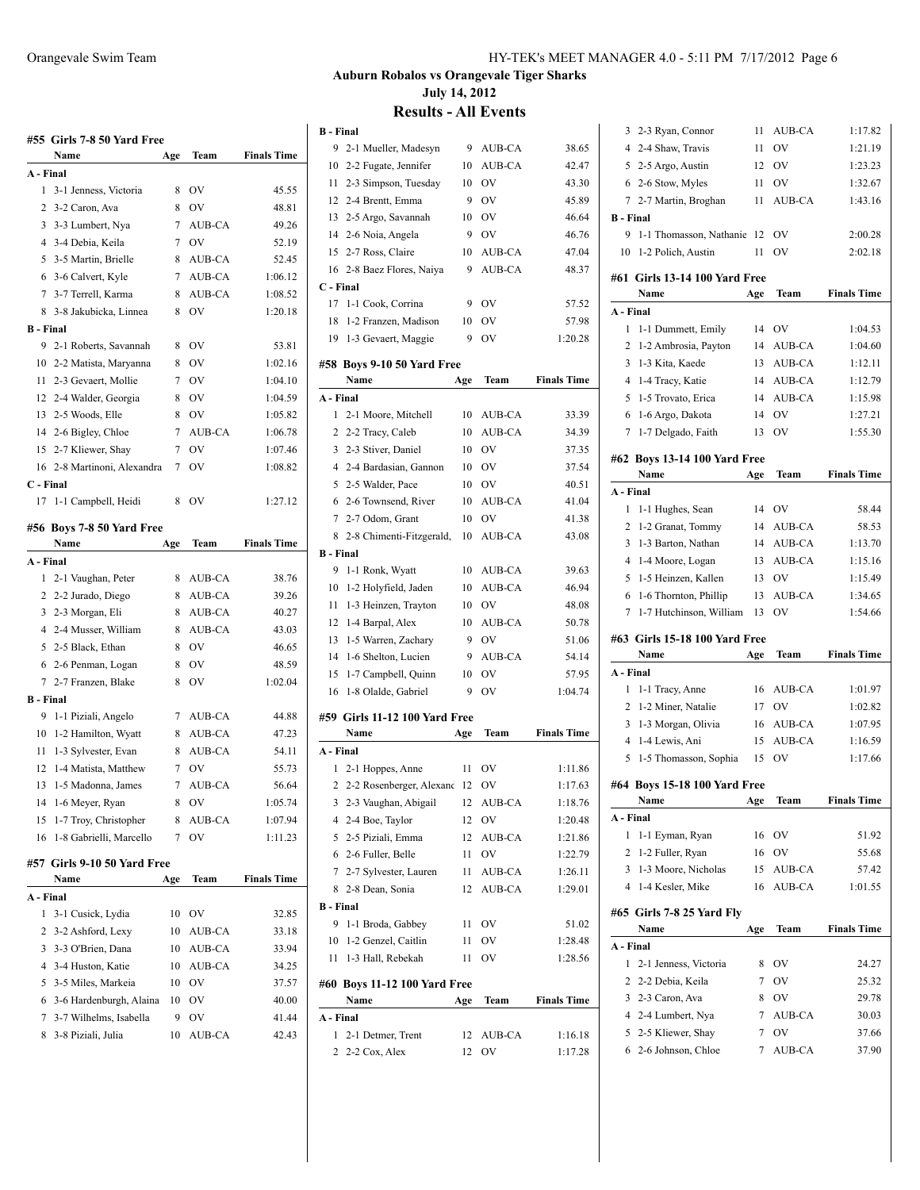|                  | #55  Girls 7-8 50 Yard Free       |     |               |                    |
|------------------|-----------------------------------|-----|---------------|--------------------|
|                  | Name                              | Age | Team          | <b>Finals Time</b> |
| A - Final        |                                   |     |               |                    |
| 1                | 3-1 Jenness, Victoria             | 8   | OV            | 45.55              |
| 2                | 3-2 Caron, Ava                    | 8   | OV            | 48.81              |
| 3                | 3-3 Lumbert, Nya                  | 7   | AUB-CA        | 49.26              |
| 4                | 3-4 Debia, Keila                  | 7   | OV            | 52.19              |
| 5                | 3-5 Martin, Brielle               | 8   | AUB-CA        | 52.45              |
| 6                | 3-6 Calvert, Kyle                 | 7   | AUB-CA        | 1:06.12            |
| 7                | 3-7 Terrell, Karma                | 8   | AUB-CA        | 1:08.52            |
| 8                | 3-8 Jakubicka, Linnea             | 8   | OV            | 1:20.18            |
| <b>B</b> - Final |                                   |     |               |                    |
| 9                | 2-1 Roberts, Savannah             | 8   | OV            | 53.81              |
|                  | 10 2-2 Matista, Maryanna          | 8   | OV            | 1:02.16            |
|                  | 11 2-3 Gevaert, Mollie            | 7   | OV            | 1:04.10            |
|                  | 12 2-4 Walder, Georgia            | 8   | OV            | 1:04.59            |
|                  | 13 2-5 Woods, Elle                | 8   | OV            | 1:05.82            |
|                  | 14 2-6 Bigley, Chloe              | 7   | AUB-CA        | 1:06.78            |
| 15               | 2-7 Kliewer, Shay                 | 7   | OV            | 1:07.46            |
| 16               | 2-8 Martinoni, Alexandra          | 7   | OV            | 1:08.82            |
| C - Final        |                                   |     |               |                    |
| 17               | 1-1 Campbell, Heidi               | 8   | OV            | 1:27.12            |
|                  |                                   |     |               |                    |
|                  | #56 Boys 7-8 50 Yard Free<br>Name | Age | Team          | <b>Finals Time</b> |
| A - Final        |                                   |     |               |                    |
| 1                | 2-1 Vaughan, Peter                | 8   | AUB-CA        | 38.76              |
|                  | 2 2-2 Jurado, Diego               | 8   | AUB-CA        | 39.26              |
|                  | 3 2-3 Morgan, Eli                 | 8   | AUB-CA        | 40.27              |
|                  | 4 2-4 Musser, William             | 8   | AUB-CA        | 43.03              |
|                  | 5 2-5 Black, Ethan                | 8   | OV            | 46.65              |
|                  |                                   |     |               | 48.59              |
|                  | 6 2-6 Penman, Logan               | 8   | OV            |                    |
|                  | 7 2-7 Franzen, Blake              | 8   | OV            | 1:02.04            |
| <b>B</b> - Final |                                   |     |               |                    |
| 9                | 1-1 Piziali, Angelo               | 7   | AUB-CA        | 44.88              |
| 10               | 1-2 Hamilton, Wyatt               | 8   | AUB-CA        | 47.23              |
| 11               | 1-3 Sylvester, Evan               | 8   | AUB-CA        | 54.11              |
| 12               | 1-4 Matista, Matthew              | 7   | OV            | 55.73              |
| 13               | 1-5 Madonna, James                | 7   | <b>AUB-CA</b> | 56.64              |
| 14               | 1-6 Meyer, Ryan                   | 8   | OV            | 1:05.74            |
| 15               | 1-7 Troy, Christopher             | 8   | AUB-CA        | 1:07.94            |
| 16               | 1-8 Gabrielli, Marcello           | 7   | OV            | 1:11.23            |
|                  | #57  Girls 9-10 50 Yard Free      |     |               |                    |
|                  | Name                              | Age | Team          | <b>Finals Time</b> |
| A - Final        |                                   |     |               |                    |
| 1                | 3-1 Cusick, Lydia                 | 10  | OV            | 32.85              |
| 2                | 3-2 Ashford, Lexy                 | 10  | AUB-CA        | 33.18              |
| 3                | 3-3 O'Brien, Dana                 | 10  | AUB-CA        | 33.94              |
| 4                | 3-4 Huston, Katie                 | 10  | AUB-CA        | 34.25              |
| 5                | 3-5 Miles, Markeia                | 10  | OV            | 37.57              |
| 6                | 3-6 Hardenburgh, Alaina           | 10  | OV            | 40.00              |
| 7                | 3-7 Wilhelms, Isabella            | 9   | OV            | 41.44              |
| 8                | 3-8 Piziali, Julia                | 10  | AUB-CA        | 42.43              |
|                  |                                   |     |               |                    |

## **Results - All Events**

| <b>B</b> - Final |                               |     |               |                    |
|------------------|-------------------------------|-----|---------------|--------------------|
| 9                | 2-1 Mueller, Madesyn          | 9   | AUB-CA        | 38.65              |
| 10               | 2-2 Fugate, Jennifer          | 10  | AUB-CA        | 42.47              |
| 11               | 2-3 Simpson, Tuesday          | 10  | OV            | 43.30              |
| 12               | 2-4 Brentt, Emma              | 9   | OV            | 45.89              |
| 13               | 2-5 Argo, Savannah            | 10  | OV            | 46.64              |
|                  | 14 2-6 Noia, Angela           | 9   | <b>OV</b>     | 46.76              |
| 15               | 2-7 Ross, Claire              | 10  | AUB-CA        | 47.04              |
| 16               | 2-8 Baez Flores, Naiya        | 9   | AUB-CA        | 48.37              |
| C - Final        |                               |     |               |                    |
| 17               | 1-1 Cook, Corrina             | 9   | <b>OV</b>     | 57.52              |
| 18               | 1-2 Franzen, Madison          | 10  | <b>OV</b>     | 57.98              |
| 19               | 1-3 Gevaert, Maggie           | 9   | <b>OV</b>     | 1:20.28            |
|                  | #58 Boys 9-10 50 Yard Free    |     |               |                    |
|                  | Name                          | Age | Team          | <b>Finals Time</b> |
| A - Final        |                               |     |               |                    |
| 1                | 2-1 Moore, Mitchell           | 10  | AUB-CA        | 33.39              |
| 2                | 2-2 Tracy, Caleb              | 10  | AUB-CA        | 34.39              |
| 3                | 2-3 Stiver, Daniel            | 10  | <b>OV</b>     | 37.35              |
|                  | 4 2-4 Bardasian, Gannon       | 10  | OV            | 37.54              |
| 5                | 2-5 Walder, Pace              | 10  | OV            | 40.51              |
| 6                | 2-6 Townsend, River           | 10  | AUB-CA        | 41.04              |
| 7                | 2-7 Odom, Grant               | 10  | OV            | 41.38              |
| 8                | 2-8 Chimenti-Fitzgerald,      | 10  | AUB-CA        | 43.08              |
| <b>B</b> - Final |                               |     |               |                    |
| 9                | 1-1 Ronk, Wyatt               | 10  | AUB-CA        | 39.63              |
| 10               | 1-2 Holyfield, Jaden          | 10  | AUB-CA        | 46.94              |
| 11               | 1-3 Heinzen, Trayton          | 10  | OV            | 48.08              |
| 12               | 1-4 Barpal, Alex              | 10  | AUB-CA        | 50.78              |
| 13               | 1-5 Warren, Zachary           | 9   | OV            | 51.06              |
| 14               | 1-6 Shelton, Lucien           | 9   | <b>AUB-CA</b> | 54.14              |
| 15               | 1-7 Campbell, Quinn           | 10  | OV            | 57.95              |
| 16               | 1-8 Olalde, Gabriel           | 9   | OV            | 1:04.74            |
|                  |                               |     |               |                    |
|                  | #59 Girls 11-12 100 Yard Free |     |               |                    |
|                  | Name                          | Age | Team          | <b>Finals Time</b> |
| A - Final        |                               |     |               |                    |
| 1                | 2-1 Hoppes, Anne              | 11  | OV            | 1:11.86            |
| $\overline{2}$   | 2-2 Rosenberger, Alexand 12   |     | OV            | 1:17.63            |
| 3                | 2-3 Vaughan, Abigail          | 12  | AUB-CA        | 1:18.76            |
| 4                | 2-4 Boe, Taylor               | 12  | OV            | 1:20.48            |
| 5                | 2-5 Piziali, Emma             | 12  | AUB-CA        | 1:21.86            |
| 6                | 2-6 Fuller, Belle             | 11  | OV            | 1:22.79            |
| 7                | 2-7 Sylvester, Lauren         | 11  | AUB-CA        | 1:26.11            |
| 8                | 2-8 Dean, Sonia               | 12  | AUB-CA        | 1:29.01            |
| <b>B</b> - Final |                               |     |               |                    |
| 9                | 1-1 Broda, Gabbey             | 11  | OV            | 51.02              |
| 10               | 1-2 Genzel, Caitlin           | 11  | OV            | 1:28.48            |
| 11               | 1-3 Hall, Rebekah             | 11  | OV            | 1:28.56            |
|                  | #60 Boys 11-12 100 Yard Free  |     |               |                    |
|                  | Name                          | Age | Team          | <b>Finals Time</b> |
|                  |                               |     |               |                    |
| A - Final        |                               |     |               |                    |
| 1                | 2-1 Detmer, Trent             | 12  | AUB-CA        | 1:16.18            |
| 2                | 2-2 Cox, Alex                 | 12  | OV            | 1:17.28            |

| 2<br>3<br>$\overline{4}$<br>5 | 2-3 Caron, Ava<br>2-4 Lumbert, Nya<br>2-5 Kliewer, Shay<br>6 2-6 Johnson, Chloe | 8<br>7<br>7<br>7 | OV<br>AUB-CA<br>OV<br>AUB-CA | 29.78<br>30.03<br>37.66<br>37.90 |
|-------------------------------|---------------------------------------------------------------------------------|------------------|------------------------------|----------------------------------|
|                               |                                                                                 |                  |                              |                                  |
|                               |                                                                                 |                  |                              |                                  |
|                               |                                                                                 |                  |                              |                                  |
|                               |                                                                                 |                  |                              |                                  |
|                               | 2-2 Debia, Keila                                                                | 7                | OV                           | 25.32                            |
| 1                             | 2-1 Jenness, Victoria                                                           | 8                | OV                           | 24.27                            |
| A - Final                     |                                                                                 |                  |                              |                                  |
|                               | Name                                                                            | Age              | Team                         | <b>Finals Time</b>               |
|                               | #65 Girls 7-8 25 Yard Fly                                                       |                  |                              |                                  |
| $\overline{4}$                | 1-4 Kesler, Mike                                                                | 16               | AUB-CA                       | 1:01.55                          |
| 3                             | 1-3 Moore, Nicholas                                                             | 15               | AUB-CA                       | 57.42                            |
| $\overline{2}$                | 1-2 Fuller, Ryan                                                                | 16               | OV                           | 55.68                            |
| 1                             | 1-1 Eyman, Ryan                                                                 | 16               | OV                           | 51.92                            |
| A - Final                     |                                                                                 |                  |                              |                                  |
|                               | Name                                                                            | Age              | Team                         | <b>Finals Time</b>               |
|                               | #64 Boys 15-18 100 Yard Free                                                    |                  |                              |                                  |
| 5                             | 1-5 Thomasson, Sophia                                                           | 15               | OV                           | 1:17.66                          |
| 4                             | 1-4 Lewis, Ani                                                                  | 15               | AUB-CA                       | 1:16.59                          |
| 3                             | 1-3 Morgan, Olivia                                                              | 16               | AUB-CA                       | 1:07.95                          |
| $\overline{2}$                | 1-2 Miner, Natalie                                                              | 17               | OV                           | 1:02.82                          |
| 1                             | 1-1 Tracy, Anne                                                                 | 16               | AUB-CA                       | 1:01.97                          |
| A - Final                     |                                                                                 |                  |                              |                                  |
|                               | Name                                                                            | Age              | Team                         | <b>Finals Time</b>               |
|                               | #63 Girls 15-18 100 Yard Free                                                   |                  |                              |                                  |
|                               |                                                                                 |                  |                              |                                  |
| 7                             | 1-7 Hutchinson, William                                                         | 13               | OV                           | 1:54.66                          |
| 6                             | 1-6 Thornton, Phillip                                                           | 13               | AUB-CA                       | 1:34.65                          |
| 5                             | 1-5 Heinzen, Kallen                                                             | 13               | OV                           | 1:15.49                          |
| 4                             | 1-4 Moore, Logan                                                                | 13               | AUB-CA                       | 1:15.16                          |
| 3                             | 1-3 Barton, Nathan                                                              | 14               | AUB-CA                       | 1:13.70                          |
| 2                             | 1-2 Granat, Tommy                                                               | 14               | AUB-CA                       | 58.53                            |
| 1                             | 1-1 Hughes, Sean                                                                | 14               | OV                           | 58.44                            |
| A - Final                     |                                                                                 |                  |                              |                                  |
|                               | Name                                                                            | Age              | Team                         | <b>Finals Time</b>               |
|                               | #62 Boys 13-14 100 Yard Free                                                    |                  |                              |                                  |
| $\tau$                        | 1-7 Delgado, Faith                                                              | 13               | O <sub>V</sub>               | 1:55.30                          |
| 6                             | 1-6 Argo, Dakota                                                                | 14               | OV                           | 1:27.21                          |
| 5                             | 1-5 Trovato, Erica                                                              | 14               | AUB-CA                       | 1:15.98                          |
| 4                             | 1-4 Tracy, Katie                                                                | 14               | AUB-CA                       | 1:12.79                          |
| 3                             | 1-3 Kita, Kaede                                                                 | 13               | AUB-CA                       | 1:12.11                          |
| 2                             | 1-2 Ambrosia, Payton                                                            | 14               | AUB-CA                       | 1:04.60                          |
| 1                             | 1-1 Dummett, Emily                                                              | 14               | OV                           | 1:04.53                          |
| A - Final                     |                                                                                 |                  |                              |                                  |
|                               | Name                                                                            | Age              | Team                         | <b>Finals Time</b>               |
|                               | #61 Girls 13-14 100 Yard Free                                                   |                  |                              |                                  |
|                               | 10 1-2 Polich, Austin                                                           | 11               | OV                           | 2:02.18                          |
| 9                             | 1-1 Thomasson, Nathanie                                                         | 12               | OV                           | 2:00.28                          |
| <b>B</b> - Final              |                                                                                 |                  |                              |                                  |
| 7                             | 2-7 Martin, Broghan                                                             | 11               | AUB-CA                       | 1:43.16                          |
|                               | 6 2-6 Stow, Myles                                                               | 11               | OV                           | 1:32.67                          |
| 5                             | 2-5 Argo, Austin                                                                | 12               | OV                           | 1:23.23                          |
| $\overline{4}$                | 2-4 Shaw, Travis                                                                | 11               | OV                           | 1:21.19                          |
| 3                             | 2-3 Ryan, Connor                                                                | 11               | <b>AUB-CA</b>                | 1:17.82                          |
|                               |                                                                                 |                  |                              |                                  |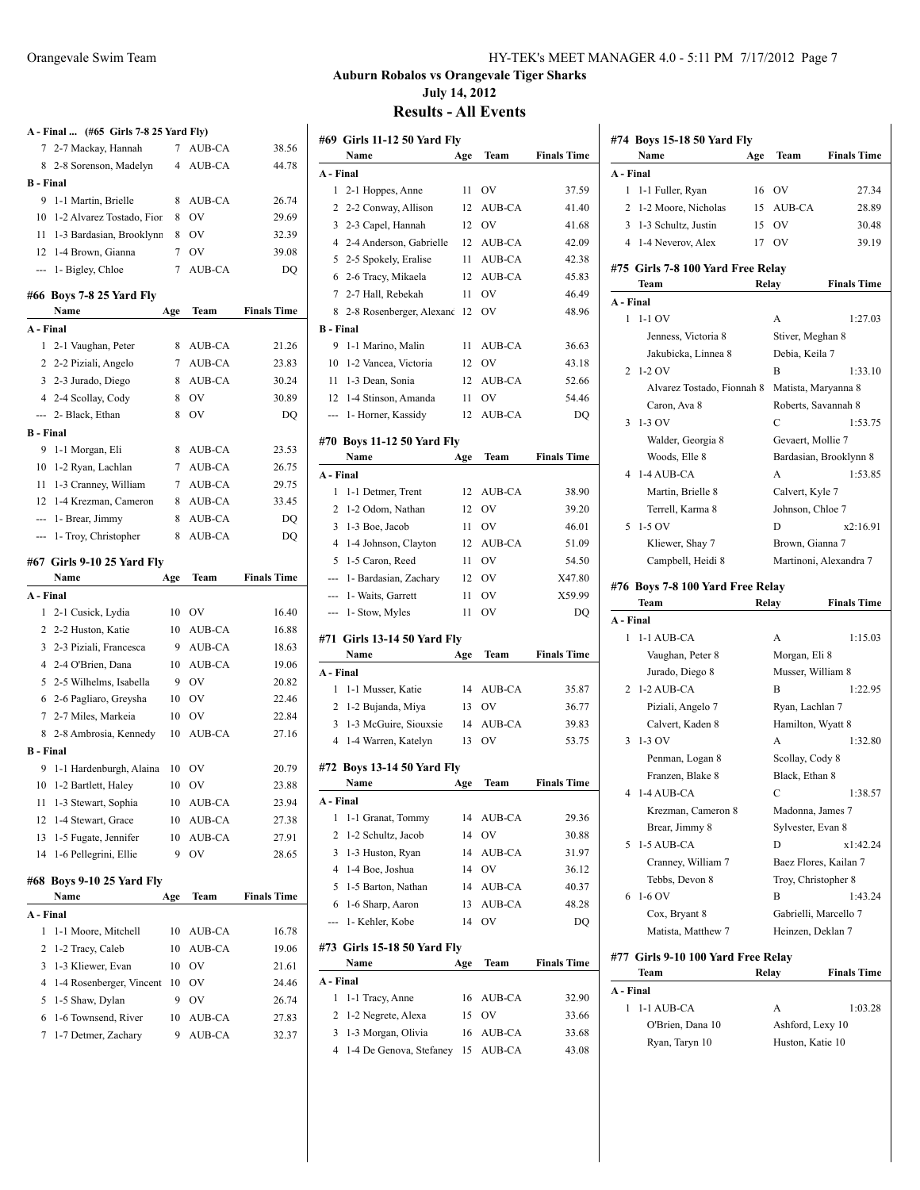|                  | A - Final  (#65 Girls 7-8 25 Yard Fly) |                |           |                    |
|------------------|----------------------------------------|----------------|-----------|--------------------|
| 7                | 2-7 Mackay, Hannah                     | 7              | AUB-CA    | 38.56              |
| 8                | 2-8 Sorenson, Madelyn                  | $\overline{4}$ | AUB-CA    | 44.78              |
| <b>B</b> - Final |                                        |                |           |                    |
| 9                | 1-1 Martin, Brielle                    | 8              | AUB-CA    | 26.74              |
| 10               | 1-2 Alvarez Tostado, Fior              | 8              | OV        | 29.69              |
| 11               | 1-3 Bardasian, Brooklynn               | 8              | <b>OV</b> | 32.39              |
|                  | 12 1-4 Brown, Gianna                   | 7              | OV        | 39.08              |
| ---              | 1- Bigley, Chloe                       | 7              | AUB-CA    | DQ                 |
|                  | #66 Boys 7-8 25 Yard Fly               |                |           |                    |
|                  | Name                                   | Age            | Team      | <b>Finals Time</b> |
| A - Final        |                                        |                |           |                    |
| 1                | 2-1 Vaughan, Peter                     | 8              | AUB-CA    | 21.26              |
|                  | 2 2-2 Piziali, Angelo                  |                | 7 AUB-CA  | 23.83              |
|                  | 3 2-3 Jurado, Diego                    | 8              | AUB-CA    | 30.24              |
|                  | 4 2-4 Scollay, Cody                    | 8              | OV        | 30.89              |
|                  | --- 2- Black, Ethan                    | 8              | OV        | DQ                 |
| <b>B</b> - Final |                                        |                |           |                    |
| 9                | 1-1 Morgan, Eli                        | 8              | AUB-CA    | 23.53              |
| 10               | 1-2 Ryan, Lachlan                      | 7              | AUB-CA    | 26.75              |
| 11               | 1-3 Cranney, William                   | 7              | AUB-CA    | 29.75              |
| 12               | 1-4 Krezman, Cameron                   | 8              | AUB-CA    | 33.45              |
|                  | --- 1- Brear, Jimmy                    | 8              | AUB-CA    | DQ                 |
| ---              | 1- Troy, Christopher                   | 8              | AUB-CA    | DQ                 |
|                  |                                        |                |           |                    |
|                  | #67 Girls 9-10 25 Yard Fly<br>Name     | Age            | Team      | <b>Finals Time</b> |
| A - Final        |                                        |                |           |                    |
| 1                | 2-1 Cusick, Lydia                      | 10             | OV        | 16.40              |
| 2                | 2-2 Huston, Katie                      | 10             | AUB-CA    | 16.88              |
| 3                | 2-3 Piziali, Francesca                 | 9              |           |                    |
| 4                | 2-4 O'Brien, Dana                      |                |           |                    |
|                  |                                        |                | AUB-CA    | 18.63              |
|                  |                                        | 10             | AUB-CA    | 19.06              |
| 5                | 2-5 Wilhelms, Isabella                 | 9              | <b>OV</b> | 20.82              |
|                  | 6 2-6 Pagliaro, Greysha                | 10             | <b>OV</b> | 22.46              |
| 7                | 2-7 Miles, Markeia                     | 10             | <b>OV</b> | 22.84              |
| 8                | 2-8 Ambrosia, Kennedy                  | 10             | AUB-CA    | 27.16              |
| <b>B</b> - Final |                                        |                |           |                    |
| 9                | 1-1 Hardenburgh, Alaina                | 10             | OV        | 20.79              |
| 10               | 1-2 Bartlett, Haley                    | 10             | OV        | 23.88              |
| 11               | 1-3 Stewart, Sophia                    | 10             | AUB-CA    | 23.94              |
| 12               | 1-4 Stewart, Grace                     | 10             | AUB-CA    | 27.38              |
| 13               | 1-5 Fugate, Jennifer                   | 10             | AUB-CA    | 27.91              |
| 14               | 1-6 Pellegrini, Ellie                  | 9              | ov        | 28.65              |
|                  | #68 Boys 9-10 25 Yard Fly              |                |           |                    |
|                  | Name                                   | Age            | Team      | <b>Finals Time</b> |
| A - Final        |                                        |                |           |                    |
| 1                | 1-1 Moore, Mitchell                    | 10             | AUB-CA    | 16.78              |
| 2                | 1-2 Tracy, Caleb                       | 10             | AUB-CA    | 19.06              |
| 3                | 1-3 Kliewer, Evan                      | 10             | OV        | 21.61              |
| 4                | 1-4 Rosenberger, Vincent               | 10             | OV        | 24.46              |
| 5                | 1-5 Shaw, Dylan                        | 9              | OV        | 26.74              |
| 6                | 1-6 Townsend, River                    | 10             | AUB-CA    | 27.83              |

| Orangevale Swim Team | HY-TEK's MEET MANAGER 4.0 - 5:11 PM 7/17/2012 Page 7 |
|----------------------|------------------------------------------------------|
|----------------------|------------------------------------------------------|

|                  | #69 Girls 11-12 50 Yard Fly                   |          |                  |                    |
|------------------|-----------------------------------------------|----------|------------------|--------------------|
|                  | Name                                          | Age      | Team             | <b>Finals Time</b> |
| A - Final        |                                               |          |                  |                    |
| 1                | 2-1 Hoppes, Anne                              | 11       | OV               | 37.59              |
| 2                | 2-2 Conway, Allison                           | 12       | AUB-CA           | 41.40              |
| 3                | 2-3 Capel, Hannah                             | 12       | OV               | 41.68              |
| 4                | 2-4 Anderson, Gabrielle                       | 12       | AUB-CA           | 42.09              |
| 5                | 2-5 Spokely, Eralise                          | 11       | AUB-CA           | 42.38              |
| 6                | 2-6 Tracy, Mikaela                            | 12       | AUB-CA           | 45.83              |
| 7                | 2-7 Hall, Rebekah                             | 11       | OV               | 46.49              |
| 8                | 2-8 Rosenberger, Alexand                      | 12       | OV               | 48.96              |
| <b>B</b> - Final |                                               |          |                  |                    |
| 9                | 1-1 Marino, Malin                             | 11       | AUB-CA           | 36.63              |
| 10               | 1-2 Vancea, Victoria                          | 12       | OV               | 43.18              |
| 11               | 1-3 Dean, Sonia                               | 12       | AUB-CA           | 52.66              |
| 12               | 1-4 Stinson, Amanda                           | 11       | OV               | 54.46              |
| ---              | 1- Horner, Kassidy                            | 12       | AUB-CA           | DQ                 |
|                  | #70 Boys 11-12 50 Yard Fly                    |          |                  |                    |
|                  | Name                                          | Age      | Team             | <b>Finals Time</b> |
| A - Final        |                                               |          |                  |                    |
| 1                | 1-1 Detmer, Trent                             | 12       | <b>AUB-CA</b>    | 38.90              |
| 2                | 1-2 Odom, Nathan                              | 12       | OV               | 39.20              |
| 3                | 1-3 Boe, Jacob                                | 11       | OV               | 46.01              |
| 4                | 1-4 Johnson, Clayton                          | 12       | AUB-CA           | 51.09              |
| 5                | 1-5 Caron, Reed                               | 11       | OV               | 54.50              |
| ---              | 1- Bardasian, Zachary                         | 12       | OV               | X47.80             |
| ---              | 1- Waits, Garrett                             | 11       | OV               | X59.99             |
| ---              | 1- Stow, Myles                                | 11       | OV               | DQ                 |
|                  |                                               |          |                  |                    |
|                  |                                               |          |                  |                    |
|                  | #71 Girls 13-14 50 Yard Fly                   |          |                  |                    |
|                  | Name                                          | Age      | Team             | <b>Finals Time</b> |
| A - Final        |                                               |          |                  |                    |
| 1                | 1-1 Musser, Katie                             | 14       | AUB-CA           | 35.87              |
| 2                | 1-2 Bujanda, Miya                             | 13       | OV               | 36.77              |
| 3                | 1-3 McGuire, Siouxsie                         | 14       | AUB-CA           | 39.83              |
| $\overline{4}$   | 1-4 Warren, Katelyn                           | 13       | OV               | 53.75              |
|                  | #72 Boys 13-14 50 Yard Fly                    |          |                  |                    |
|                  | Name                                          | Age      | Team             | <b>Finals Time</b> |
| A - Final        |                                               |          |                  |                    |
| 1                | 1-1 Granat, Tommy                             | 14       | <b>AUB-CA</b>    | 29.36              |
| 2                | 1-2 Schultz, Jacob                            | 14       | OV               | 30.88              |
| 3                | 1-3 Huston, Ryan                              | 14       | AUB-CA           | 31.97              |
| 4                | 1-4 Boe, Joshua                               | 14       | OV               | 36.12              |
| 5                | 1-5 Barton, Nathan                            | 14       | AUB-CA           | 40.37              |
| 6                | 1-6 Sharp, Aaron                              | 13       | AUB-CA           | 48.28              |
| ---              | 1- Kehler, Kobe                               | 14       | OV               | DQ                 |
|                  | #73 Girls 15-18 50 Yard Fly                   |          |                  |                    |
|                  | Name                                          | Age      | Team             | <b>Finals Time</b> |
| A - Final        |                                               |          |                  |                    |
| 1                | 1-1 Tracy, Anne                               | 16       | AUB-CA           | 32.90              |
| 2                | 1-2 Negrete, Alexa                            | 15       | OV               | 33.66              |
| 3<br>4           | 1-3 Morgan, Olivia<br>1-4 De Genova, Stefaney | 16<br>15 | AUB-CA<br>AUB-CA | 33.68<br>43.08     |

|           | #74 Boys 15-18 50 Yard Fly                |       |                       |                        |
|-----------|-------------------------------------------|-------|-----------------------|------------------------|
|           | Name                                      | Age   | Team                  | <b>Finals Time</b>     |
| A - Final |                                           |       |                       |                        |
| 1         | 1-1 Fuller, Ryan                          | 16    | <b>OV</b>             | 27.34                  |
| 2         | 1-2 Moore, Nicholas                       | 15    | <b>AUB-CA</b>         | 28.89                  |
| 3         | 1-3 Schultz, Justin                       | 15    | OV                    | 30.48                  |
|           | 4 1-4 Neverov, Alex                       | 17    | OV                    | 39.19                  |
|           |                                           |       |                       |                        |
|           | #75 Girls 7-8 100 Yard Free Relay<br>Team |       |                       | <b>Finals Time</b>     |
| A - Final |                                           |       | Relay                 |                        |
|           | $1 - 1 - 1$ OV                            |       | А                     | 1:27.03                |
|           | Jenness, Victoria 8                       |       | Stiver, Meghan 8      |                        |
|           |                                           |       |                       |                        |
|           | Jakubicka, Linnea 8<br>$1-2$ OV           |       | Debia, Keila 7<br>B   |                        |
| 2         |                                           |       |                       | 1:33.10                |
|           | Alvarez Tostado, Fionnah 8                |       | Matista, Maryanna 8   |                        |
|           | Caron, Ava 8<br>$1-3$ OV                  |       | Roberts, Savannah 8   |                        |
| 3         |                                           |       | $\overline{C}$        | 1:53.75                |
|           | Walder, Georgia 8                         |       | Gevaert, Mollie 7     |                        |
|           | Woods, Elle 8                             |       |                       | Bardasian, Brooklynn 8 |
| 4         | 1-4 AUB-CA                                |       | A                     | 1:53.85                |
|           | Martin, Brielle 8                         |       | Calvert, Kyle 7       |                        |
|           | Terrell, Karma 8                          |       | Johnson, Chloe 7      |                        |
| 5         | $1-5$ OV                                  |       | D                     | x2:16.91               |
|           | Kliewer, Shay 7                           |       | Brown, Gianna 7       |                        |
|           | Campbell, Heidi 8                         |       |                       | Martinoni, Alexandra 7 |
|           | #76 Boys 7-8 100 Yard Free Relay          |       |                       |                        |
|           | Team                                      | Relay |                       | <b>Finals Time</b>     |
| A - Final |                                           |       |                       |                        |
| 1         | 1-1 AUB-CA                                |       | A                     | 1:15.03                |
|           | Vaughan, Peter 8                          |       | Morgan, Eli 8         |                        |
|           | Jurado, Diego 8                           |       | Musser, William 8     |                        |
| 2         | 1-2 AUB-CA                                |       | B                     | 1:22.95                |
|           | Piziali, Angelo 7                         |       | Ryan, Lachlan 7       |                        |
|           | Calvert, Kaden 8                          |       | Hamilton, Wyatt 8     |                        |
| 3         | $1-3$ OV                                  |       | A                     | 1:32.80                |
|           | Penman, Logan 8                           |       | Scollay, Cody 8       |                        |
|           | Franzen, Blake 8                          |       | Black, Ethan 8        |                        |
| 4         | 1-4 AUB-CA                                |       | С                     | 1:38.57                |
|           | Krezman, Cameron 8                        |       | Madonna, James 7      |                        |
|           | Brear, Jimmy 8                            |       | Sylvester, Evan 8     |                        |
| 5         | 1-5 AUB-CA                                |       | D                     | x1:42.24               |
|           | Cranney, William 7                        |       |                       | Baez Flores, Kailan 7  |
|           | Tebbs, Devon 8                            |       | Troy, Christopher 8   |                        |
| 6         | $1-6$ OV                                  |       | B                     | 1:43.24                |
|           | Cox, Bryant 8                             |       | Gabrielli, Marcello 7 |                        |
|           | Matista, Matthew 7                        |       | Heinzen, Deklan 7     |                        |
|           | #77 Girls 9-10 100 Yard Free Relay        |       |                       |                        |
|           |                                           |       |                       |                        |

| Team             | Relay | <b>Finals Time</b> |
|------------------|-------|--------------------|
| A - Final        |       |                    |
| 1 1-1 AUB-CA     | А     | 1:03.28            |
| O'Brien, Dana 10 |       | Ashford, Lexy 10   |
| Ryan, Taryn 10   |       | Huston, Katie 10   |